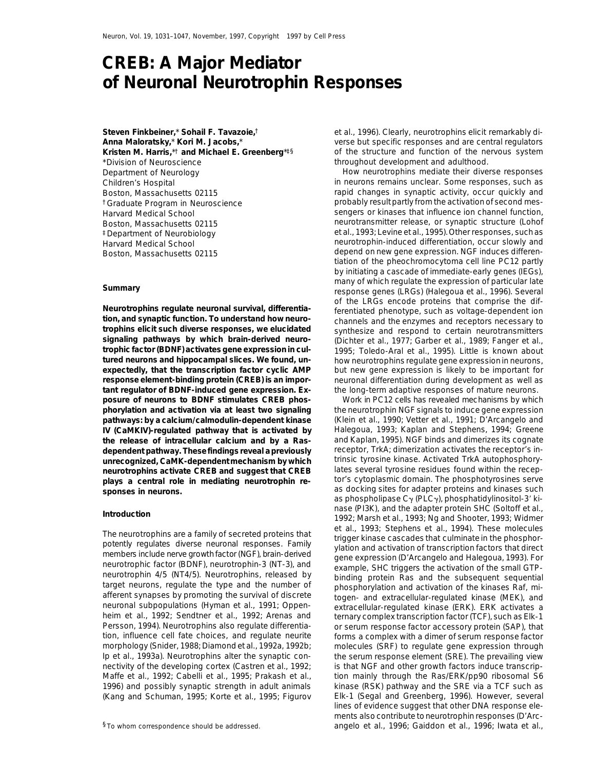# **CREB: A Major Mediator of Neuronal Neurotrophin Responses**

**Steven Finkbeiner,**\* **Sohail F. Tavazoie,**† **Anna Maloratsky,**\* **Kori M. Jacobs,**\* **Kristen M. Harris,**\*† **and Michael E. Greenberg**\*‡*§* \*Division of Neuroscience throughout development and adulthood. Department of Neurology **How neurotrophins mediate their diverse responses** 

**tant regulator of BDNF-induced gene expression. Ex-** the long-term adaptive responses of mature neurons. **posure of neurons to BDNF stimulates CREB phos-** Work in PC12 cells has revealed mechanisms by which **phorylation and activation via at least two signaling** the neurotrophin NGF signals to induce gene expression **pathways: by a calcium/calmodulin-dependent kinase** (Klein et al., 1990; Vetter et al., 1991; D'Arcangelo and **IV (CaMKIV)-regulated pathway that is activated by** Halegoua, 1993; Kaplan and Stephens, 1994; Greene **the release of intracellular calcium and by a Ras-** and Kaplan, 1995). NGF binds and dimerizes its cognate **dependent pathway. Thesefindings reveal apreviously** receptor, TrkA; dimerization activates the receptor's in**unrecognized, CaMK-dependentmechanism by which** trinsic tyrosine kinase. Activated TrkA autophosphory**neurotrophins activate CREB and suggest that CREB** lates several tyrosine residues found within the recep**plays a central role in mediating neurotrophin re-** tor's cytoplasmic domain. The phosphotyrosines serve

heim et al., 1992; Sendtner et al., 1992; Arenas and ternary complex transcription factor (TCF), such as Elk-1<br>Persson, 1994). Neurotrophins also regulate differentia- or serum response factor accessory protein (SAP), that Persson, 1994). Neurotrophins also regulate differentia-eccerorian response factor accessory protein (SAP), that<br>tion, influence cell fate choices, and regulate neuritection forms a complex with a dimer of serum response f morphology (Snider, 1988; Diamond et al., 1992a, 1992b; molecules (SRF) to regulate gene expression through<br>Ip et al., 1993a). Neurotrophins alter the synaptic con-ethe serum response element (SRE). The prevailing view Ip et al., 1993a). Neurotrophins alter the synaptic con-<br>nectivity of the developing cortex (Castren et al., 1992; is that NGF and other growth factors induce transcrip Maffe et al., 1992; Cabelli et al., 1995; Prakash et al., tion mainly through the Ras/ERK/pp90 ribosomal S6 1996) and possibly synaptic strength in adult animals kinase (RSK) pathway and the SRE via a TCF such as (Kang and Schuman, 1995; Korte et al., 1995; Figurov Elk-1 (Segal and Greenberg, 1996). However, several

et al., 1996). Clearly, neurotrophins elicit remarkably diverse but specific responses and are central regulators of the structure and function of the nervous system

Children's Hospital in neurons remains unclear. Some responses, such as Boston, Massachusetts 02115 **rapid changes in synaptic activity, occur quickly and** †Graduate Program in Neuroscience probably result partly from the activation of second mes-Harvard Medical School sengers or kinases that influence ion channel function, Boston, Massachusetts 02115 https://www.meurotransmitter release, or synaptic structure (Lohof ‡Department of Neurobiology et al., 1993; Levine et al., 1995).Other responses, such as Harvard Medical School **The Contract of the Contract Contract Contract of the Contract Orientation**, occur slowly and Boston, Massachusetts 02115 depend on new gene expression. NGF induces differentiation of the pheochromocytoma cell line PC12 partly by initiating a cascade of immediate-early genes (IEGs), many of which regulate the expression of particular late **Summary** response genes (LRGs) (Halegoua et al., 1996). Several Neurotrophins regulate neuronal survival, differentia-<br>tion, and synaptic function. To understand how neuro-<br>trophins elicit such diverse responses, we elucidated<br>trophins elicit such diverse responses, we elucidated<br>troph **signaling pathways by which brain-derived neuro-** (Dichter et al., 1977; Garber et al., 1989; Fanger et al., **trophic factor (BDNF) activates gene expression in cul-** 1995; Toledo-Aral et al., 1995). Little is known about **tured neurons and hippocampal slices. We found, un-** how neurotrophins regulate gene expression in neurons, **expectedly, that the transcription factor cyclic AMP** but new gene expression is likely to be important for **response element-binding protein (CREB) is an impor-** neuronal differentiation during development as well as

as docking sites for adapter proteins and kinases such **sponses in neurons.** as phospholipase C<sup>g</sup> (PLCg), phosphatidylinositol-3<sup>9</sup> kinase (PI3K), and the adapter protein SHC (Soltoff et al., **Introduction** 1992; Marsh et al., 1993; Ng and Shooter, 1993; Widmer The neurotrophins are a family of secreted proteins that<br>potently regulates diverse neuronal responses. Family<br>members include nerve growth factor (NGF), brain-derived<br>neurotrophic factor (BDNF), neurotrophin-3 (NT-3), and forms a complex with a dimer of serum response factor is that NGF and other growth factors induce transcriplines of evidence suggest that other DNA response elements also contribute toneurotrophin responses (D'Arcangelo et al., 1996; Gaiddon et al., 1996; Iwata et al., *§*To whom correspondence should be addressed.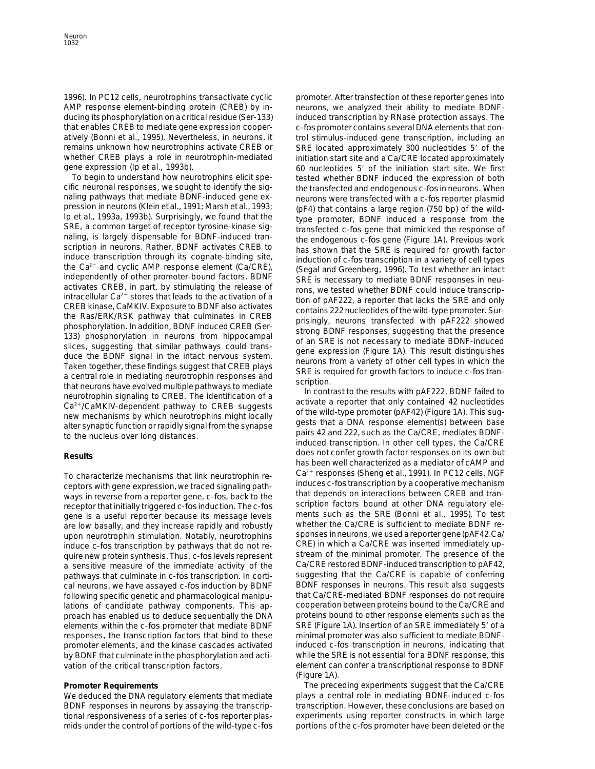1996). In PC12 cells, neurotrophins transactivate cyclic promoter. After transfection of these reporter genes into AMP response element-binding protein (CREB) by in- neurons, we analyzed their ability to mediate BDNFducing its phosphorylation on a critical residue (Ser-133) induced transcription by RNase protection assays. The that enables CREB to mediate gene expression cooper- c-*fos* promoter contains several DNA elements that conatively (Bonni et al., 1995). Nevertheless, in neurons, it trol stimulus-induced gene transcription, including an remains unknown how neurotrophins activate CREB or SRE located approximately 300 nucleotides 5' of the whether CREB plays a role in neurotrophin-mediated initiation start site and a Ca/CRE located approximately

cific neuronal responses, we sought to identify the sig- the transfected and endogenous c-*fos* in neurons. When naling pathways that mediate BDNF-induced gene ex-<br>
neurons were transfected with a c-fost epoper plasming pathways that consider the same specific particle is the same that the same specific particle is all the same speci

ceptors with gene expression, we traced signaling path- induces c-*fos* transcription by a cooperative mechanism ways in reverse from a reporter gene, c-*fos*, back to the final depends on interactions between CREB and tran-<br>receptor that initially triggered c-*fos* induction. The c-*fos* scription factors bound at other DNA regulato receptor that initially triggered c-*fos* induction. The c-*fos* scription factors bound at other DNA regulatory ele-<br>Rene is a useful reporter because its message levels such as the SRE (Bonni et al., 1995). To test gene is a useful reporter because its message levels are low basally, and they increase rapidly and robustly whether the Ca/CRE is sufficient to mediate BDNF re-<br>upon neurotrophin stimulation. Notably, neurotrophins sponses in neurons, we used a reporter gene (pAF42.Ca/ sponses in neurons, we used a reporter gene (pAF42.Ca/<br>induce c-*fos* transcription by pathways that do not re-<br>quire new protein synthesis. Thus, c-*fos* levels represent stream of the minimal promoter. The presence of th quire new protein synthesis. Thus, c-*fos* levels represent stream of the minimal promoter. The presence of the<br>a sensitive measure of the immediate activity of the Ca/CRE restored BDNF-induced transcription to pAF42, a sensitive measure of the immediate activity of the Ca/CRE restored BDNF-induced transcription to pAF42,<br>pathways that culminate in c-*fos* transcription. In corti- suggesting that the Ca/CRE is capable of conferring pathways that culminate in c-fos transcription. In cortical neurons, we have assayed c-fos induction by BDNF BDNF responses in neurons. This result also suggests following specific genetic and pharmacological manipu- that Ca/CRE-mediated BDNF responses do not require lations of candidate pathway components. This ap- cooperation between proteins bound to the Ca/CRE and proach has enabled us to deduce sequentially the DNA proteins bound to other response elements such as the elements such as the elements such as the elements such as the elements such as the elements within the c-fos promo elements within the c-fos promoter that mediate BDNF responses, the transcription factors that bind to these minimal promoter was also sufficient to mediate BDNFpromoter elements, and the kinase cascades activated induced c-*fos* transcription in neurons, indicating that by BDNF that culminate in the phosphorylation and acti- while the SRE is not essential for a BDNF response, this vation of the critical transcription factors. element can confer a transcriptional response to BDNF

We deduced the DNA regulatory elements that mediate plays a central role in mediating BDNF-induced c-fos BDNF responses in neurons by assaying the transcrip- transcription. However, these conclusions are based on tional responsiveness of a series of c-*fos* reporter plas- experiments using reporter constructs in which large mids under the control of portions of the wild-type c-*fos* portions of the c-*fos* promoter have been deleted or the

gene expression (Ip et al., 1993b). 60 nucleotides 5' of the initiation start site. We first To begin to understand how neurotrophins elicit spe- tested whether BDNF induced the expression of both

does not confer growth factor responses on its own but **Results** has been well characterized as a mediator of cAMP and To characterize mechanisms that link neurotrophin re-<br>Case To characterize mechanisms that link neurotrophin re-<br>induces c-fos transcription by a cooperative mechanism<br>mechanism (Figure 1A).

**Promoter Requirements** The preceding experiments suggest that the Ca/CRE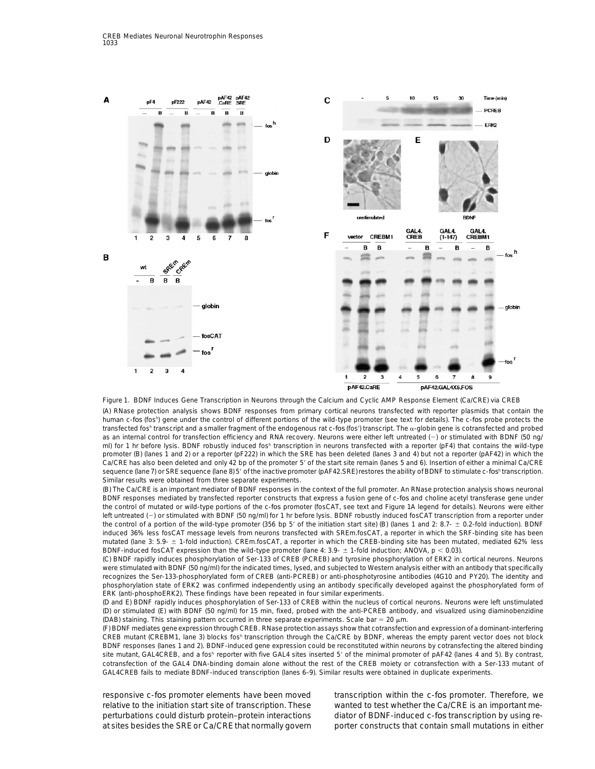

Figure 1. BDNF Induces Gene Transcription in Neurons through the Calcium and Cyclic AMP Response Element (Ca/CRE) via CREB

(A) RNase protection analysis shows BDNF responses from primary cortical neurons transfected with reporter plasmids that contain the human c-*fos* (fos<sup>n</sup>) gene under the control of different portions of the wild-type promoter (see text for details). The c-*fos* probe protects the transfected fos<sup>h</sup> transcript and a smaller fragment of the endogenous rat c-*fos* (fos<sup>r</sup>) transcript. The α-globin gene is cotransfected and probed as an internal control for transfection efficiency and RNA recovery. Neurons were either left untreated (-) or stimulated with BDNF (50 ng/ ml) for 1 hr before lysis. BDNF robustly induced fos<sup>h</sup> transcription in neurons transfected with a reporter (pF4) that contains the wild-type promoter (B) (lanes 1 and 2) or a reporter (pF222) in which the SRE has been deleted (lanes 3 and 4) but not a reporter (pAF42) in which the Ca/CRE has also been deleted and only 42 bp of the promoter 5' of the start site remain (lanes 5 and 6). Insertion of either a minimal Ca/CRE sequence (lane 7) or SRE sequence (lane 8) 5' of the inactive promoter (pAF42.SRE) restores the ability of BDNF to stimulate c-*fos*h transcription. Similar results were obtained from three separate experiments.

(B) The Ca/CRE is an important mediator of BDNF responses in the context of the full promoter. An RNase protection analysis shows neuronal BDNF responses mediated by transfected reporter constructs that express a fusion gene of c-*fos* and choline acetyl transferase gene under the control of mutated or wild-type portions of the c-*fos* promoter (fosCAT, see text and Figure 1A legend for details). Neurons were either left untreated (-) or stimulated with BDNF (50 ng/ml) for 1 hr before lysis. BDNF robustly induced fosCAT transcription from a reporter under the control of a portion of the wild-type promoter (356 bp 5' of the initiation start site) (B) (lanes 1 and 2: 8.7-  $\pm$  0.2-fold induction). BDNF induced 36% less fosCAT message levels from neurons transfected with SREm.fosCAT, a reporter in which the SRF-binding site has been mutated (lane 3: 5.9-  $\pm$  1-fold induction). CREm.fosCAT, a reporter in which the CREB-binding site has been mutated, mediated 62% less BDNF-induced fosCAT expression than the wild-type promoter (lane 4: 3.9-  $\pm$  1-fold induction; ANOVA, p < 0.03).

(C) BNDF rapidly induces phosphorylation of Ser-133 of CREB (PCREB) and tyrosine phosphorylation of ERK2 in cortical neurons. Neurons were stimulated with BDNF (50 ng/ml) for the indicated times, lysed, and subjected to Western analysis either with an antibody that specifically recognizes the Ser-133-phosphorylated form of CREB (anti-PCREB) or anti-phosphotyrosine antibodies (4G10 and PY20). The identity and phosphorylation state of ERK2 was confirmed independently using an antibody specifically developed against the phosphorylated form of ERK (anti-phosphoERK2). These findings have been repeated in four similar experiments.

(D and E) BDNF rapidly induces phosphorylation of Ser-133 of CREB within the nucleus of cortical neurons. Neurons were left unstimulated (D) or stimulated (E) with BDNF (50 ng/ml) for 15 min, fixed, probed with the anti-PCREB antibody, and visualized using diaminobenzidine (DAB) staining. This staining pattern occurred in three separate experiments. Scale bar = 20  $\mu$ m.

(F) BDNF mediates gene expression through CREB. RNase protection assays show that cotransfection and expression of a dominant-interfering CREB mutant (CREBM1, lane 3) blocks fos<sup>h</sup> transcription through the Ca/CRE by BDNF, whereas the empty parent vector does not block BDNF responses (lanes 1 and 2). BDNF-induced gene expression could be reconstituted within neurons by cotransfecting the altered binding site mutant, GAL4CREB, and a fos<sup>h</sup> reporter with five GAL4 sites inserted 5' of the minimal promoter of pAF42 (lanes 4 and 5). By contrast, cotransfection of the GAL4 DNA-binding domain alone without the rest of the CREB moiety or cotransfection with a Ser-133 mutant of GAL4CREB fails to mediate BDNF-induced transcription (lanes 6–9). Similar results were obtained in duplicate experiments.

relative to the initiation start site of transcription. These wanted to test whether the Ca/CRE is an important meperturbations could disturb protein–protein interactions diator of BDNF-induced c-*fos* transcription by using reat sites besides the SRE or Ca/CRE that normally govern porter constructs that contain small mutations in either

responsive c-*fos* promoter elements have been moved transcription within the c-*fos* promoter. Therefore, we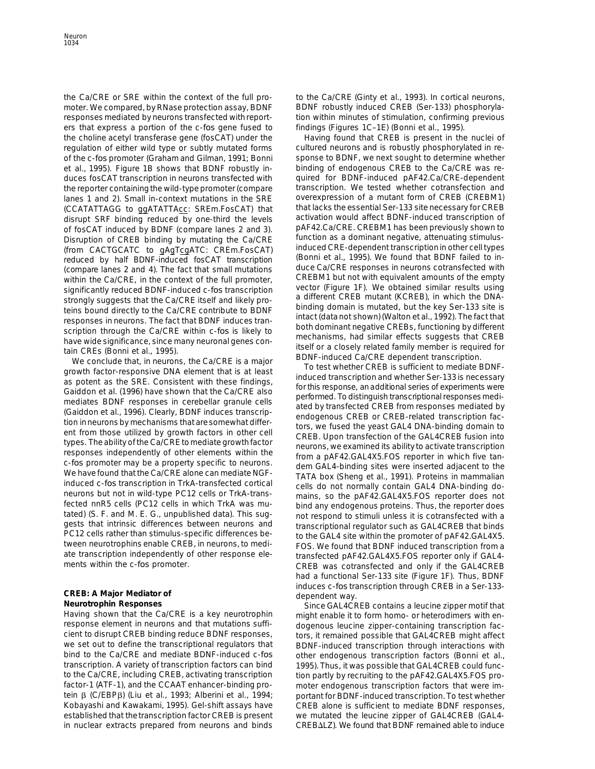the Ca/CRE or SRE within the context of the full pro- to the Ca/CRE (Ginty et al., 1993). In cortical neurons, moter. We compared, by RNase protection assay, BDNF BDNF robustly induced CREB (Ser-133) phosphorylaresponses mediated by neurons transfected with report- tion within minutes of stimulation, confirming previous ers that express a portion of the c-*fos* gene fused to findings (Figures 1C–1E) (Bonni et al., 1995). the choline acetyl transferase gene (fosCAT) under the Having found that CREB is present in the nuclei of regulation of either wild type or subtly mutated forms cultured neurons and is robustly phosphorylated in reof the c-*fos* promoter (Graham and Gilman, 1991; Bonni sponse to BDNF, we next sought to determine whether et al., 1995). Figure 1B shows that BDNF robustly in- binding of endogenous CREB to the Ca/CRE was reduces fosCAT transcription in neurons transfected with quired for BDNF-induced pAF42.Ca/CRE-dependent the reporter containingthe wild-type promoter (compare transcription. We tested whether cotransfection and lanes 1 and 2). Small in-context mutations in the SRE overexpression of a mutant form of CREB (CREBM1) land and CREB (CREBM1) (CCATATTAGG to ggATATTAcc: SREm.FosCAT) that that lacks the essential Ser-133 site necessary for CREB<br>disrupt SRE binding reduced by one-third the levels activation would affect BDNF-induced transcription of disrupt SRF binding reduced by one-third the levels activation would affect BDNF-induced transcription of<br>of fosCAT induced by BDNF (compare lanes 2 and 3) pAF42.Ca/CRE. CREBM1 has been previously shown to of fosCAT induced by BDNF (compare lanes 2 and 3). pAF42.Ca/CRE. CREBM1 has been previously shown to<br>Disruption of CRFB binding by mutating the Ca/CRF function as a dominant negative, attenuating stimulus-Disruption of CREB binding by mutating the Ca/CRE function as a dominant negative, attenuating stimulus-<br>from CACTGCATC, to gAgTcgATC: CREm EosCAT) induced CRE-dependent transcription in other cell types (from CACTGCATC to gAgTcgATC: CREm.FosCAT) induced CRE-dependent transcription in other cell types<br>reduced by half BDNF-induced fosCAT transcription (Bonni et al., 1995). We found that BDNF failed to in-<br>(compare lanes 2 a within the Ca/CRE, in the context of the full promoter,<br>
creation of with equivalent amounts of the empty<br>
cignificantly reduced RDNE induced c for transcription vector (Figure 1F). We obtained similar results using

significantly reduced BDNF-induced c-fos transcription<br>
strongly suggests that the Ca/CRE itself and likely pro-<br>
a different CREB in untain (KCREB), in which the DNA-<br>
teins bound directly to the Ca/CRE contribute to BDNF c-fos promoter may be a property specific to neurons.<br>
We have found that the Ca/CRE alone can mediate NGF-<br>
induced c-fos transcription in TrkA-transfected cortical<br>
neurons but not in wild-type PC12 cells or TrkA-trans-<br> rated) (S. F. and M. E. G., unpublished data). This sug-<br>gests that intrinsic differences between neurons and PC12 cells rather than stimulus-specific differences be-<br>proper to the GAL4 site within the promoter of pAF42.GA tween neurotrophins enable CREB, in neurons, to medi-<br>ate transcription independently of other response ele-<br>transfected pAF42.GAL4X5.FOS reporter only if GAL4-

response element in neurons and that mutations suffi- dogenous leucine zipper-containing transcription faccient to disrupt CREB binding reduce BDNF responses, tors, it remained possible that GAL4CREB might affect we set out to define the transcriptional regulators that BDNF-induced transcription through interactions with bind to the Ca/CRE and mediate BDNF-induced c-fos other endogenous transcription factors (Bonni et al., transcription. A variety of transcription factors can bind 1995). Thus, it was possible that GAL4CREB could functo the Ca/CRE, including CREB, activating transcription tion partly by recruiting to the pAF42.GAL4X5.FOS pro-<br>factor-1 (ATF-1), and the CCAAT enhancer-binding pro- moter endogenous transcription factors that were imtein β (C/EBPβ) (Liu et al., 1993; Alberini et al., 1994; portant for BDNF-induced transcription. To test whether<br>Kobayashi and Kawakami, 1995). Gel-shift assays have CREB alone is sufficient to mediate BDNF responses. established that thetranscription factor CREB is present we mutated the leucine zipper of GAL4CREB (GAL4-

ate transcription independently of other response ele-<br>ments within the c-*fos* promoter. there is promotered and only if the GAL4CREB CREB was cotransfected and only if the GAL4CREB had a functional Ser-133 site (Figure 1F). Thus, BDNF

CREB: A Major Mediator of induces c-fos transcription through CREB in a Ser-133-<br>
Meurotrophin Responses<br>
Having shown that the Ca/CRE is a key neurotrophin might enable it to form homo- or heterodimers with en-<br>
Having sh other endogenous transcription factors (Bonni et al., moter endogenous transcription factors that were im-CREB alone is sufficient to mediate BDNF responses, in nuclear extracts prepared from neurons and binds CREBALZ). We found that BDNF remained able to induce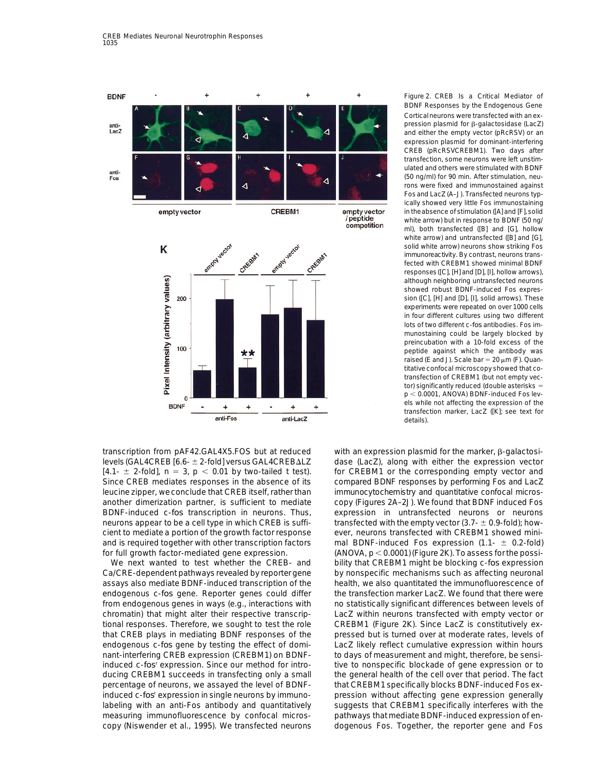

transcription from pAF42.GAL4X5.FOS but at reduced with an expression plasmid for the marker,  $\beta$ -galactosicient to mediate a portion of the growth factor response ever, neurons transfected with CREBM1 showed minifor full growth factor-mediated gene expression.  $(ANOVA, p < 0.0001)$  (Figure 2K). To assess for the possi-

endogenous c-*fos* gene. Reporter genes could differ the transfection marker LacZ. We found that there were from endogenous genes in ways (e.g., interactions with no statistically significant differences between levels of chromatin) that might alter their respective transcrip- LacZ within neurons transfected with empty vector or tional responses. Therefore, we sought to test the role CREBM1 (Figure 2K). Since LacZ is constitutively exnant-interfering CREB expression (CREBM1) on BDNF- to days of measurement and might, therefore, be sensiinduced c-fos<sup>r</sup> expression. Since our method for intro-<br>tive to nonspecific blockade of gene expression or to percentage of neurons, we assayed the level of BDNF- that CREBM1 specifically blocks BDNF-induced Fos exlabeling with an anti-Fos antibody and quantitatively suggests that CREBM1 specifically interferes with the measuring immunofluorescence by confocal micros- pathways that mediate BDNF-induced expression of en-

Figure 2. CREB Is a Critical Mediator of BDNF Responses by the Endogenous Gene Cortical neurons were transfected with an expression plasmid for  $\beta$ -galactosidase (LacZ) and either the empty vector (pRcRSV) or an expression plasmid for dominant-interfering CREB (pRcRSVCREBM1). Two days after transfection, some neurons were left unstimulated and others were stimulated with BDNF (50 ng/ml) for 90 min. After stimulation, neurons were fixed and immunostained against Fos and LacZ (A–J). Transfected neurons typically showed very little Fos immunostaining in the absence of stimulation ([A] and [F], solid white arrow) but in response to BDNF (50 ng/ ml), both transfected ([B] and [G], hollow white arrow) and untransfected ([B] and [G], solid white arrow) neurons show striking Fos immunoreactivity. By contrast, neurons transfected with CREBM1 showed minimal BDNF responses ([C], [H] and [D], [I], hollow arrows), although neighboring untransfected neurons showed robust BDNF-induced Fos expression ([C], [H] and [D], [I], solid arrows). These experiments were repeated on over 1000 cells in four different cultures using two different lots of two different c-*fos* antibodies. Fos immunostaining could be largely blocked by preincubation with a 10-fold excess of the peptide against which the antibody was raised (E and J). Scale bar =  $20 \mu m$  (F). Quantitative confocal microscopy showed that cotransfection of CREBM1 (but not empty vector) significantly reduced (double asterisks  $=$  $p < 0.0001$ , ANOVA) BDNF-induced Fos levels while not affecting the expression of the transfection marker, LacZ ([K]; see text for details).

levels (GAL4CREB [6.6- $\pm$  2-fold] versus GAL4CREB $\Delta$ LZ dase (LacZ), along with either the expression vector  $[4.1 - \pm 2$ -fold], n = 3, p < 0.01 by two-tailed t test). for CREBM1 or the corresponding empty vector and Since CREB mediates responses in the absence of its compared BDNF responses by performing Fos and LacZ leucine zipper, we conclude that CREB itself, rather than immunocytochemistry and quantitative confocal microsanother dimerization partner, is sufficient to mediate copy (Figures 2A–2J). We found that BDNF induced Fos BDNF-induced c-*fos* transcription in neurons. Thus, expression in untransfected neurons or neurons neurons appear to be a cell type in which CREB is suffi-<br>transfected with the empty vector  $(3.7 - \pm 0.9 - 0.9)$  howand is required together with other transcription factors mal BDNF-induced Fos expression (1.1-  $\pm$  0.2-fold) We next wanted to test whether the CREB- and bility that CREBM1 might be blocking c-*fos* expression Ca/CRE-dependent pathways revealed by reporter gene by nonspecific mechanisms such as affecting neuronal assays also mediate BDNF-induced transcription of the health, we also quantitated the immunofluorescence of that CREB plays in mediating BDNF responses of the pressed but is turned over at moderate rates, levels of endogenous c-*fos* gene by testing the effect of domi- LacZ likely reflect cumulative expression within hours ducing CREBM1 succeeds in transfecting only a small the general health of the cell over that period. The fact induced c-*fos* expression in single neurons by immuno- pression without affecting gene expression generally copy (Niswender et al., 1995). We transfected neurons dogenous Fos. Together, the reporter gene and Fos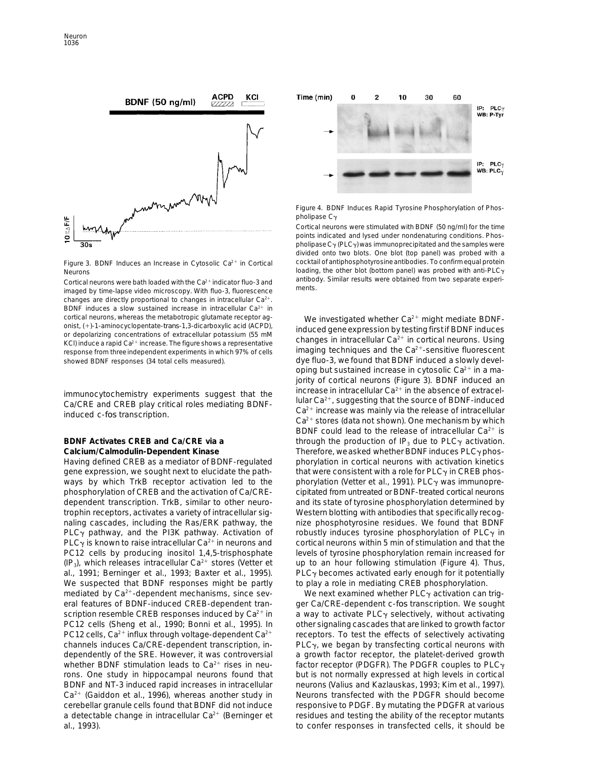

Cortical neurons were bath loaded with the  $Ca^{2+}$  indicator fluo-3 and antibody ments imaged by time-lapse video microscopy. With fluo-3, fluorescence changes are directly proportional to changes in intracellular Ca<sup>2+</sup>. BDNF induces a slow sustained increase in intracellular  $Ca^{2+}$  in cortical neurons, whereas the metabotropic glutamate receptor ag-<br>
onist, (+)-1-aminocyclopentate-*trans*-1,3-dicarboxylic acid (ACPD),<br>
or depolarizing concentrations of extracellular potassium (55 mM<br>
KCl) induced gene

Having defined CREB as a mediator of BDNF-regulated phorylation in cortical neurons with activation kinetics gene expression, we sought next to elucidate the path-<br>that were consistent with a role for PLC $\gamma$  in CREB phosways by which TrkB receptor activation led to the phorylation (Vetter et al., 1991). PLC $\gamma$  was immunoprephosphorylation of CREB and the activation of Ca/CRE- cipitated from untreated or BDNF-treated cortical neurons dependent transcription. TrkB, similar to other neuro- and its state of tyrosine phosphorylation determined by trophin receptors, activates a variety of intracellular sig- Western blotting with antibodies that specifically recognaling cascades, including the Ras/ERK pathway, the nize phosphotyrosine residues. We found that BDNF PLC $\gamma$  pathway, and the PI3K pathway. Activation of robustly induces tyrosine phosphorylation of PLC $\gamma$  in PLC $\gamma$  is known to raise intracellular Ca<sup>2+</sup> in neurons and cortical neurons within 5 min of stimulation and that the PC12 cells by producing inositol 1,4,5-trisphosphate levels of tyrosine phosphorylation remain increased for (IP<sub>3</sub>), which releases intracellular Ca<sup>2+</sup> stores (Vetter et  $\qquad \text{up}$  to an hour following stimulation (Figure 4). Thus, al., 1991; Berninger et al., 1993; Baxter et al., 1995). PLC $\gamma$  becomes activated early enough for it potentially We suspected that BDNF responses might be partly to play a role in mediating CREB phosphorylation. mediated by Ca<sup>2+</sup>-dependent mechanisms, since sev-<br>We next examined whether PLC<sub> $\gamma$ </sub> activation can trigeral features of BDNF-induced CREB-dependent tran- ger Ca/CRE-dependent c-*fos* transcription. We sought scription resemble CREB responses induced by  $Ca^{2+}$  in a way to activate PLC $\gamma$  selectively, without activating PC12 cells (Sheng et al., 1990; Bonni et al., 1995). In other signaling cascades that are linked to growth factor PC12 cells, Ca<sup>2+</sup> influx through voltage-dependent Ca<sup>2+</sup> receptors. To test the effects of selectively activating channels induces Ca/CRE-dependent transcription, in-<br>  $PLC_{\gamma}$ , we began by transfecting cortical neurons with dependently of the SRE. However, it was controversial a growth factor receptor, the platelet-derived growth whether BDNF stimulation leads to Ca<sup>2+</sup> rises in neu-<br>factor receptor (PDGFR). The PDGFR couples to PLC<sub>Y</sub> rons. One study in hippocampal neurons found that but is not normally expressed at high levels in cortical BDNF and NT-3 induced rapid increases in intracellular neurons (Valius and Kazlauskas, 1993; Kim et al., 1997).  $Ca<sup>2+</sup>$  (Gaiddon et al., 1996), whereas another study in Neurons transfected with the PDGFR should become cerebellar granule cells found that BDNF did not induce responsive to PDGF. By mutating the PDGFR at various a detectable change in intracellular  $Ca^{2+}$  (Berninger et residues and testing the ability of the receptor mutants al., 1993). to confer responses in transfected cells, it should be



Figure 4. BDNF Induces Rapid Tyrosine Phosphorylation of Phospholipase  $C_{\gamma}$ 

Cortical neurons were stimulated with BDNF (50 ng/ml) for the time points indicated and lysed under nondenaturing conditions. Phospholipase  $C_{\gamma}$  (PLC<sub> $\gamma$ </sub>) was immunoprecipitated and the samples were divided onto two blots. One blot (top panel) was probed with a Figure 3. BDNF Induces an Increase in Cytosolic Ca<sup>2+</sup> in Cortical cocktail of antiphosphotyrosine antibodies. To confirm equal protein Neurons<br>
loading, the other blot (bottom panel) was probed with anti-PLC $\gamma$ <br>
Cortical pourons were bath loaded with the Ca<sup>2+</sup> indicator flue 2 and antibody. Similar results were obtained from two separate experi-

response from three independent experiments in which 97% of cells imaging techniques and the  $Ca^{2+}$ -sensitive fluorescent showed BDNF responses (34 total cells measured). due to dye fluo-3, we found that BDNF induced a slowly developing but sustained increase in cytosolic  $Ca^{2+}$  in a majority of cortical neurons (Figure 3). BDNF induced an immunocytochemistry experiments suggest that the increase in intracellular Ca<sup>2+</sup> in the absence of extracel-<br>Ca/CRE and CREB play critical roles mediating BDNF-<br>induced c-*fos* transcription.<br>Ca<sup>2+</sup> stores (data not show BDNF could lead to the release of intracellular  $Ca^{2+}$  is **BDNF Activates CREB and Ca/CRE via a** through the production of IP<sub>3</sub> due to PLC $\gamma$  activation. **Calcium/Calmodulin-Dependent Kinase** Therefore, we asked whether BDNF induces PLC<sub>Y</sub> phos-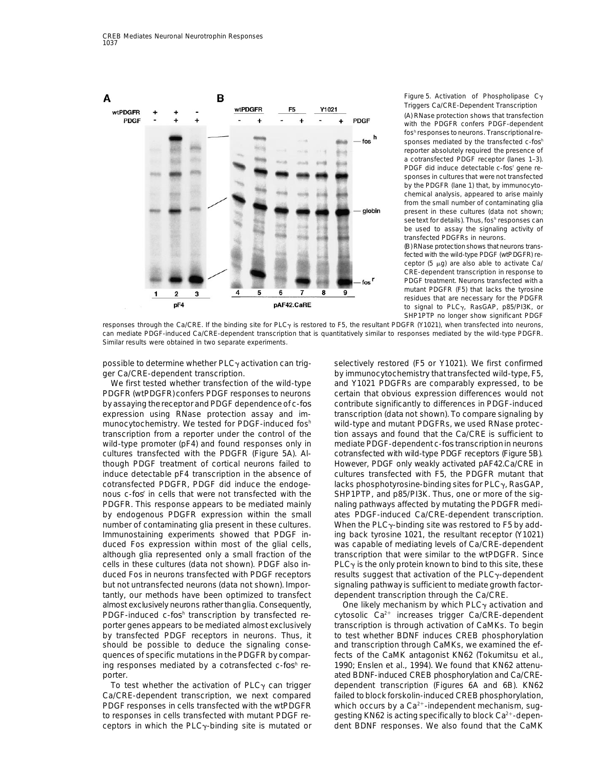

Figure 5. Activation of Phospholipase  $C_{\gamma}$ Triggers Ca/CRE-Dependent Transcription

(A) RNase protection shows that transfection with the PDGFR confers PDGF-dependent fosh responses to neurons. Transcriptional responses mediated by the transfected c-*fos*<sup>h</sup> reporter absolutely required the presence of a cotransfected PDGF receptor (lanes 1–3). PDGF did induce detectable c-*fos*<sup>r</sup> gene responses in cultures that were not transfected by the PDGFR (lane 1) that, by immunocytochemical analysis, appeared to arise mainly from the small number of contaminating glia present in these cultures (data not shown; see text for details). Thus, fosh responses can be used to assay the signaling activity of transfected PDGFRs in neurons.

(B) RNase protection shows that neurons transfected with the wild-type PDGF (wtPDGFR) receptor (5  $\mu$ g) are also able to activate Ca/ CRE-dependent transcription in response to PDGF treatment. Neurons transfected with a mutant PDGFR (F5) that lacks the tyrosine residues that are necessary for the PDGFR to signal to PLC<sub>γ</sub>, RasGAP, p85/PI3K, or SHP1PTP no longer show significant PDGF

responses through the Ca/CRE. If the binding site for PLC $\gamma$  is restored to F5, the resultant PDGFR (Y1021), when transfected into neurons, can mediate PDGF-induced Ca/CRE-dependent transcription that is quantitatively similar to responses mediated by the wild-type PDGFR. Similar results were obtained in two separate experiments.

possible to determine whether PLC $\gamma$  activation can trig-<br>selectively restored (F5 or Y1021). We first confirmed

PDGFR (wtPDGFR) confers PDGF responses to neurons certain that obvious expression differences would not by assaying thereceptor and PDGF dependence of c-*fos* contribute significantly to differences in PDGF-induced expression using RNase protection assay and im- transcription (data not shown). To compare signaling by munocytochemistry. We tested for PDGF-induced fosh wild-type and mutant PDGFRs, we used RNase protectranscription from a reporter under the control of the tion assays and found that the Ca/CRE is sufficient to wild-type promoter (pF4) and found responses only in mediate PDGF-dependent c-*fos* transcription in neurons cultures transfected with the PDGFR (Figure 5A). Al- cotransfected with wild-type PDGF receptors (Figure 5B). though PDGF treatment of cortical neurons failed to However, PDGF only weakly activated pAF42.Ca/CRE in induce detectable pF4 transcription in the absence of cultures transfected with F5, the PDGFR mutant that cotransfected PDGFR, PDGF did induce the endoge- lacks phosphotyrosine-binding sites for PLC $\gamma$ , RasGAP, nous c-*fos* in cells that were not transfected with the SHP1PTP, and p85/PI3K. Thus, one or more of the sig-PDGFR. This response appears to be mediated mainly naling pathways affected by mutating the PDGFR mediby endogenous PDGFR expression within the small ates PDGF-induced Ca/CRE-dependent transcription. number of contaminating glia present in these cultures. When the PLC $\gamma$ -binding site was restored to F5 by add-Immunostaining experiments showed that PDGF in- ing back tyrosine 1021, the resultant receptor (Y1021) duced Fos expression within most of the glial cells, was capable of mediating levels of Ca/CRE-dependent although glia represented only a small fraction of the transcription that were similar to the wtPDGFR. Since cells in these cultures (data not shown). PDGF also in-<br>
PLC $\gamma$  is the only protein known to bind to this site, these duced Fos in neurons transfected with PDGF receptors results suggest that activation of the PLCγ-dependent but not untransfected neurons (data not shown). Impor- signaling pathway is sufficient to mediate growth factortantly, our methods have been optimized to transfect dependent transcription through the Ca/CRE. almost exclusively neurons rather than glia. Consequently, One likely mechanism by which PLC<sub>Y</sub> activation and PDGF-induced c-*fos*<sup>h</sup> transcription by transfected re-<br>cytosolic Ca<sup>2+</sup> increases trigger Ca/CRE-dependent porter genes appears to be mediated almost exclusively transcription is through activation of CaMKs. To begin by transfected PDGF receptors in neurons. Thus, it to test whether BDNF induces CREB phosphorylation should be possible to deduce the signaling conse- and transcription through CaMKs, we examined the efquences of specific mutations in the PDGFR by compar-<br>fects of the CaMK antagonist KN62 (Tokumitsu et al., ing responses mediated by a cotransfected c-*fos*<sup>h</sup> re- 1990; Enslen et al., 1994). We found that KN62 attenu-

Ca/CRE-dependent transcription, we next compared failed to block forskolin-induced CREB phosphorylation, PDGF responses in cells transfected with the wtPDGFR which occurs by a Ca<sup>2+</sup>-independent mechanism, sugto responses in cells transfected with mutant PDGF re-  $\qquad$  gesting KN62 is acting specifically to block Ca<sup>2+</sup>-depenceptors in which the PLC<sub>Y</sub>-binding site is mutated or dent BDNF responses. We also found that the CaMK

ger Ca/CRE-dependent transcription. by immunocytochemistry that transfected wild-type, F5, We first tested whether transfection of the wild-type and Y1021 PDGFRs are comparably expressed, to be

porter. ated BDNF-induced CREB phosphorylation and Ca/CRE-To test whether the activation of PLC $\gamma$  can trigger dependent transcription (Figures 6A and 6B). KN62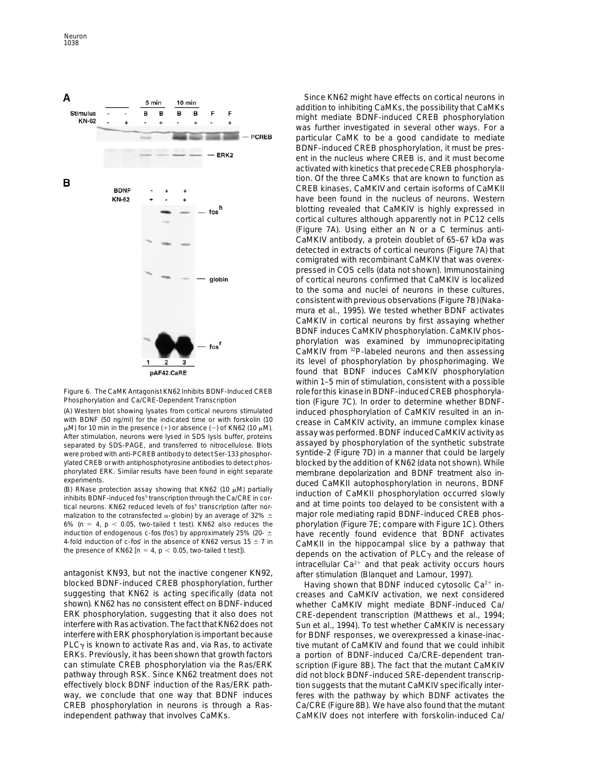

WITH BUNF (50 ng/ml) for the indicated time or with forskolin (10<br>  $\mu$ M) for 10 min in the presence (+) or absence (-) of KN62 (10  $\mu$ M).<br>
After stimulation, neurons were lysed in SDS lysis buffer, proteins<br>
separated by ylated CREB or with antiphosphotyrosine antibodies to detect phos-<br>
phorylated ERK. Similar results have been found in eight separate and prophrane depolarization and RDNF treatment also inphorylated ERK. Similar results have been found in eight separate membrane depolarization and BDNF treatment also in-<br>experiments.

malization to the cotransfected  $\alpha$ -globin) by an average of 32%  $\pm$  major role mediating rapid BDNF-induced CREB phos-6% (n = 4, p < 0.05, two-tailed t test). KN62 also reduces the phorylation (Figure 7E; compare with Figure 1C). Others induction of endogenous c-fos (fos<sup>t</sup>) by approximately 25% (20-  $\pm$ induction of endogenous c-fos (fos') by approximately 25% (20-  $\pm$  have recently found evidence that BDNF activates<br>4-fold induction of c-fos in the absence of KN62 versus 15  $\pm$  7 in contraction the binnecempel clice b

antagonist KN93, but not the inactive congener KN92, after stimulation (Blanquet and Lamour, 1997). blocked BDNF-induced CREB phosphorylation, further  $\overline{H}$  Having shown that BDNF induced cytosolic Ca<sup>2+</sup> insuggesting that KN62 is acting specifically (data not creases and CaMKIV activation, we next considered shown). KN62 has no consistent effect on BDNF-induced whether CaMKIV might mediate BDNF-induced Ca/ ERK phosphorylation, suggesting that it also does not CRE-dependent transcription (Matthews et al., 1994; interfere with Rasactivation. The fact that KN62 does not Sun et al., 1994). To test whether CaMKIV is necessary interfere with ERK phosphorylation is important because for BDNF responses, we overexpressed a kinase-inac- $PLC<sub>Y</sub>$  is known to activate Ras and, via Ras, to activate tive mutant of CaMKIV and found that we could inhibit ERKs. Previously, it has been shown that growth factors a portion of BDNF-induced Ca/CRE-dependent trancan stimulate CREB phosphorylation via the Ras/ERK scription (Figure 8B). The fact that the mutant CaMKIV pathway through RSK. Since KN62 treatment does not did not block BDNF-induced SRE-dependent transcripeffectively block BDNF induction of the Ras/ERK path- tion suggests that the mutant CaMKIV specifically interway, we conclude that one way that BDNF induces feres with the pathway by which BDNF activates the CREB phosphorylation in neurons is through a Ras- Ca/CRE (Figure 8B). We have also found that the mutant independent pathway that involves CaMKs. CaMKIV does not interfere with forskolin-induced Ca/

Since KN62 might have effects on cortical neurons in addition to inhibiting CaMKs, the possibility that CaMKs might mediate BDNF-induced CREB phosphorylation was further investigated in several other ways. For a particular CaMK to be a good candidate to mediate BDNF-induced CREB phosphorylation, it must be present in the nucleus where CREB is, and it must become activated with kinetics that precede CREB phosphorylation. Of the three CaMKs that are known to function as CREB kinases, CaMKIV and certain isoforms of CaMKII have been found in the nucleus of neurons. Western blotting revealed that CaMKIV is highly expressed in cortical cultures although apparently not in PC12 cells (Figure 7A). Using either an N or a C terminus anti-CaMKIV antibody, a protein doublet of 65–67 kDa was detected in extracts of cortical neurons (Figure 7A) that comigrated with recombinant CaMKIV that was overexpressed in COS cells (data not shown). Immunostaining of cortical neurons confirmed that CaMKIV is localized to the soma and nuclei of neurons in these cultures, consistent with previous observations (Figure 7B)(Nakamura et al., 1995). We tested whether BDNF activates CaMKIV in cortical neurons by first assaying whether BDNF induces CaMKIV phosphorylation. CaMKIV phosphorylation was examined by immunoprecipitating CaMKIV from 32P-labeled neurons and then assessing its level of phosphorylation by phosphorimaging. We found that BDNF induces CaMKIV phosphorylation within 1–5 min of stimulation, consistent with a possible Figure 6. The CaMK Antagonist KN62 Inhibits BDNF-Induced CREB role for this kinase in BDNF-induced CREB phosphoryla-<br>Phosphorylation and Ca/CRE-Dependent Transcription entity from (Figure 7C) In order to determine whether tion (Figure 7C). In order to determine whether BDNF-(A) Western blot showing lysates from cortical neurons stimulated induced phosphorylation of CaMKIV resulted in an in-<br>with BDNF (50 ng/ml) for the indicated time or with forskolin (10 were probed with anti-PCREB antibody to detect Ser-133 phosphor- syntide-2 (Figure 7D) in a manner that could be largely experiments.<br>
(B) RNase protection assay showing that KN62 (10 µM) partially<br>
inhibits BDNF-induced fos<sup>n</sup> transcription through the Ca/CRE in cor-<br>
induction of CaMKII phosphorylation occurred slowly<br>
tical neurons. KN62 4-fold induction of c-*fos* in the absence of KN62 versus 15  $\pm$  / in<br>the presence of KN62 [n = 4, p < 0.05, two-tailed t test]). depends on the activation of PLC<sub>Y</sub> and the release of intracellular  $Ca^{2+}$  and that peak activity occurs hours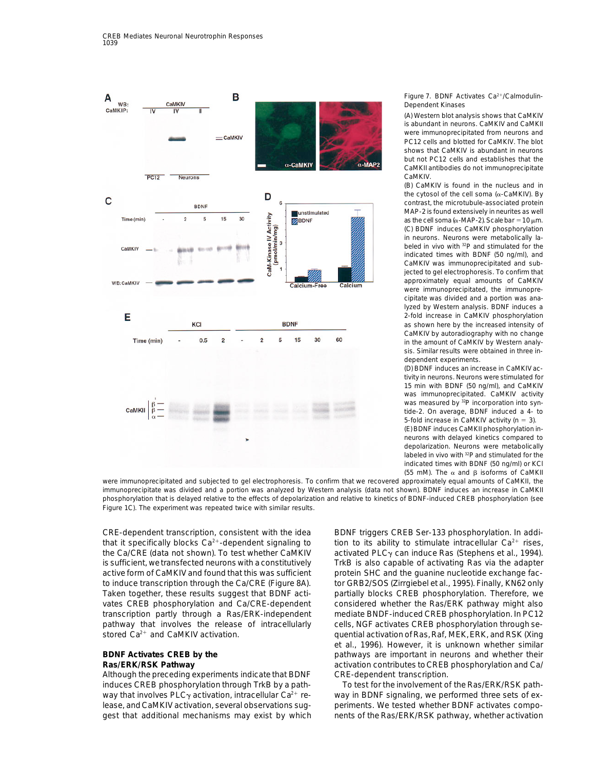

Figure 7. BDNF Activates  $Ca<sup>2+</sup>/Calmodulin-$ Dependent Kinases

(A) Western blot analysis shows that CaMKIV is abundant in neurons. CaMKIV and CaMKII were immunoprecipitated from neurons and PC12 cells and blotted for CaMKIV. The blot shows that CaMKIV is abundant in neurons but not PC12 cells and establishes that the CaMKII antibodies do not immunoprecipitate CaMKIV.

(B) CaMKIV is found in the nucleus and in the cytosol of the cell soma  $(\alpha$ -CaMKIV). By contrast, the microtubule-associated protein MAP-2 is found extensively in neurites as well as the cell soma ( $\alpha$ -MAP-2). Scale bar = 10  $\mu$ m. (C) BDNF induces CaMKIV phosphorylation in neurons. Neurons were metabolically labeled in vivo with <sup>32</sup>P and stimulated for the indicated times with BDNF (50 ng/ml), and CaMKIV was immunoprecipitated and subjected to gel electrophoresis. To confirm that approximately equal amounts of CaMKIV were immunoprecipitated, the immunoprecipitate was divided and a portion was analyzed by Western analysis. BDNF induces a 2-fold increase in CaMKIV phosphorylation as shown here by the increased intensity of CaMKIV by autoradiography with no change in the amount of CaMKIV by Western analysis. Similar results were obtained in three independent experiments.

(D) BDNF induces an increase in CaMKIV activity in neurons. Neurons were stimulated for 15 min with BDNF (50 ng/ml), and CaMKIV was immunoprecipitated. CaMKIV activity was measured by <sup>32</sup>P incorporation into syntide-2. On average, BDNF induced a 4- to 5-fold increase in CaMKIV activity ( $n = 3$ ). (E) BDNF induces CaMKII phosphorylation inneurons with delayed kinetics compared to depolarization. Neurons were metabolically labeled in vivo with <sup>32</sup>P and stimulated for the indicated times with BDNF (50 ng/ml) or KCl (55 mM). The  $\alpha$  and  $\beta$  isoforms of CaMKII

were immunoprecipitated and subjected to gel electrophoresis. To confirm that we recovered approximately equal amounts of CaMKII, the immunoprecipitate was divided and a portion was analyzed by Western analysis (data not shown). BDNF induces an increase in CaMKII phosphorylation that is delayed relative to the effects of depolarization and relative to kinetics of BDNF-induced CREB phosphorylation (see Figure 1C). The experiment was repeated twice with similar results.

that it specifically blocks Ca<sup>2+</sup>-dependent signaling to tion to its ability to stimulate intracellular Ca<sup>2+</sup> rises, the Ca/CRE (data not shown). To test whether CaMKIV activated PLC $\gamma$  can induce Ras (Stephens et al., 1994). is sufficient, we transfected neurons with a constitutively TrkB is also capable of activating Ras via the adapter active form of CaMKIV and found that this was sufficient protein SHC and the guanine nucleotide exchange facto induce transcription through the Ca/CRE (Figure 8A). tor GRB2/SOS (Zirrgiebel et al., 1995). Finally, KN62 only transcription partly through a Ras/ERK-independent mediate BNDF-induced CREB phosphorylation. In PC12 pathway that involves the release of intracellularly cells, NGF activates CREB phosphorylation through se-

Although the preceding experiments indicate that BDNF CRE-dependent transcription. induces CREB phosphorylation through TrkB by a path- To test for the involvement of the Ras/ERK/RSK pathway that involves PLC<sub>Y</sub> activation, intracellular Ca<sup>2+</sup> re- way in BDNF signaling, we performed three sets of exlease, and CaMKIV activation, several observations sug- periments. We tested whether BDNF activates compogest that additional mechanisms may exist by which nents of the Ras/ERK/RSK pathway, whether activation

CRE-dependent transcription, consistent with the idea BDNF triggers CREB Ser-133 phosphorylation. In addi-Taken together, these results suggest that BDNF acti- partially blocks CREB phosphorylation. Therefore, we vates CREB phosphorylation and Ca/CRE-dependent considered whether the Ras/ERK pathway might also stored Ca<sup>2+</sup> and CaMKIV activation.  $q$  and  $q$  and  $q$  and  $q$  and  $q$  and  $q$  and  $q$  and  $q$  and  $q$  and  $q$  and  $q$  and  $q$  and  $q$  and  $q$  and  $q$  and  $q$  and  $q$  and  $q$  and  $q$  and  $q$  and  $q$  and  $q$  and  $q$  and et al., 1996). However, it is unknown whether similar **BDNF Activates CREB by the example 20 on the pathways are important in neurons and whether their Ras/ERK/RSK Pathway** activation contributes toCREB phosphorylation and Ca/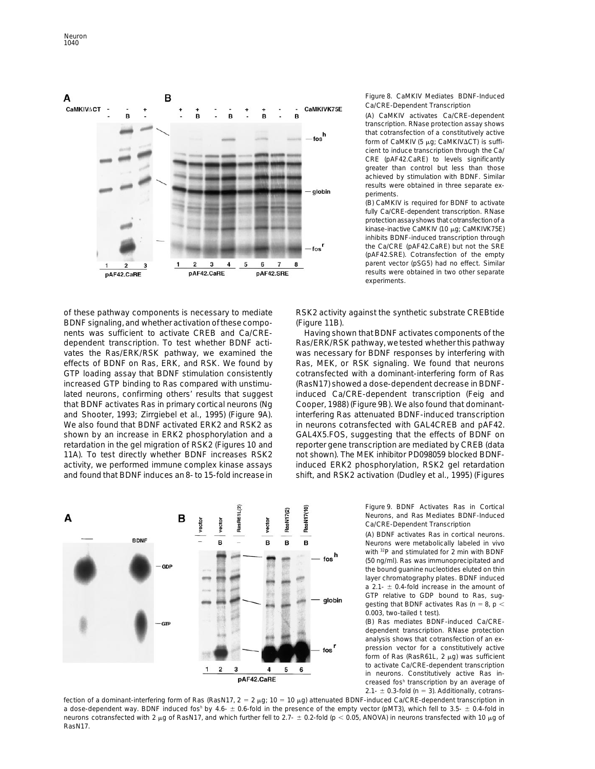

of these pathway components is necessary to mediate RSK2 activity against the synthetic substrate CREBtide BDNF signaling, and whether activation of these compo- (Figure 11B). nents was sufficient to activate CREB and Ca/CRE- Having shown that BDNF activates components of the dependent transcription. To test whether BDNF acti-<br>Ras/ERK/RSK pathway, we tested whether this pathway vates the Ras/ERK/RSK pathway, we examined the was necessary for BDNF responses by interfering with effects of BDNF on Ras, ERK, and RSK. We found by Ras, MEK, or RSK signaling. We found that neurons GTP loading assay that BDNF stimulation consistently cotransfected with a dominant-interfering form of Ras increased GTP binding to Ras compared with unstimu- (RasN17) showed a dose-dependent decrease in BDNFlated neurons, confirming others' results that suggest induced Ca/CRE-dependent transcription (Feig and that BDNF activates Ras in primary cortical neurons (Ng Cooper, 1988) (Figure 9B). We also found that dominantand Shooter, 1993; Zirrgiebel et al., 1995) (Figure 9A). interfering Ras attenuated BDNF-induced transcription We also found that BDNF activated ERK2 and RSK2 as in neurons cotransfected with GAL4CREB and pAF42. shown by an increase in ERK2 phosphorylation and a GAL4X5.FOS, suggesting that the effects of BDNF on retardation in the gel migration of RSK2 (Figures 10 and reporter gene transcription are mediated by CREB (data 11A). To test directly whether BDNF increases RSK2 not shown). The MEK inhibitor PD098059 blocked BDNFactivity, we performed immune complex kinase assays induced ERK2 phosphorylation, RSK2 gel retardation



Figure 8. CaMKIV Mediates BDNF-Induced Ca/CRE-Dependent Transcription

(A) CaMKIV activates Ca/CRE-dependent transcription. RNase protection assay shows that cotransfection of a constitutively active form of CaMKIV (5  $\mu$ g; CaMKIV $\Delta$ CT) is sufficient to induce transcription through the Ca/ CRE (pAF42.CaRE) to levels significantly greater than control but less than those achieved by stimulation with BDNF. Similar results were obtained in three separate experiments.

(B) CaMKIV is required for BDNF to activate fully Ca/CRE-dependent transcription. RNase protection assayshows that cotransfection of a kinase-inactive CaMKIV (10  $\mu$ g; CaMKIVK75E) inhibits BDNF-induced transcription through the Ca/CRE (pAF42.CaRE) but not the SRE (pAF42.SRE). Cotransfection of the empty parent vector (pSG5) had no effect. Similar results were obtained in two other separate experiments.

and found that BDNF induces an 8- to 15-fold increase in shift, and RSK2 activation (Dudley et al., 1995) (Figures

Figure 9. BDNF Activates Ras in Cortical Neurons, and Ras Mediates BDNF-Induced Ca/CRE-Dependent Transcription

(A) BDNF activates Ras in cortical neurons. Neurons were metabolically labeled in vivo with 32P and stimulated for 2 min with BDNF (50 ng/ml). Ras was immunoprecipitated and the bound guanine nucleotides eluted on thin layer chromatography plates. BDNF induced a 2.1-  $\pm$  0.4-fold increase in the amount of GTP relative to GDP bound to Ras, suggesting that BDNF activates Ras (n = 8, p  $<$ 0.003, two-tailed t test).

(B) Ras mediates BDNF-induced Ca/CREdependent transcription. RNase protection analysis shows that cotransfection of an expression vector for a constitutively active form of Ras (RasR61L,  $2 \mu$ g) was sufficient to activate Ca/CRE-dependent transcription in neurons. Constitutively active Ras increased fosh transcription by an average of 2.1-  $\pm$  0.3-fold (n = 3). Additionally, cotrans-

fection of a dominant-interfering form of Ras (RasN17,  $2 = 2 \mu g$ ; 10 = 10  $\mu g$ ) attenuated BDNF-induced Ca/CRE-dependent transcription in a dose-dependent way. BDNF induced fosh by 4.6-  $\pm$  0.6-fold in the presence of the empty vector (pMT3), which fell to 3.5-  $\pm$  0.4-fold in neurons cotransfected with 2  $\mu$ g of RasN17, and which further fell to 2.7-  $\pm$  0.2-fold (p < 0.05, ANOVA) in neurons transfected with 10  $\mu$ g of RasN17.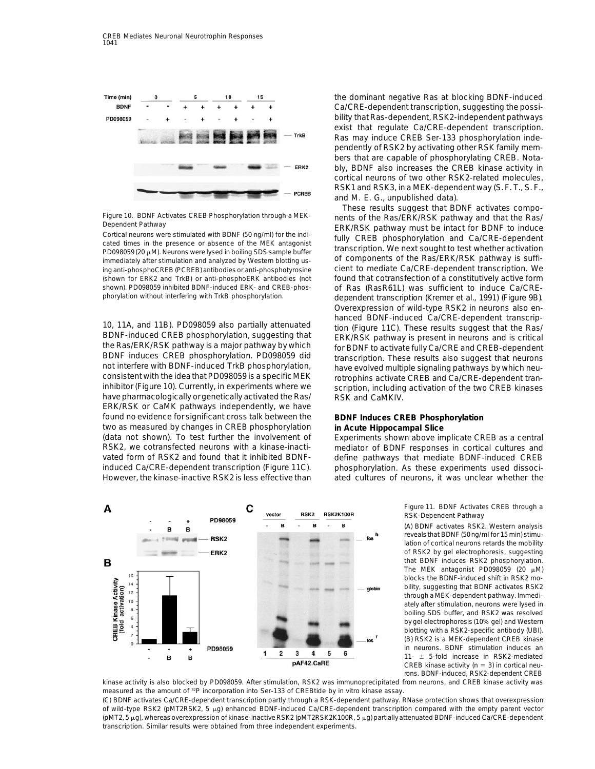

consistent with the idea that PD098059 is a specific MEK rotrophins activate CREB and Ca/CRE-dependent tran-<br>inhibitor (Figure 10). Currently, in experiments where we scription including activation of the two CREB kinases have pharmacologically or genetically activated the Ras/ RSK and CaMKIV. ERK/RSK or CaMK pathways independently, we have found no evidence for significant cross talk between the **BDNF Induces CREB Phosphorylation** two as measured by changes in CREB phosphorylation **in Acute Hippocampal Slice** RSK2, we cotransfected neurons with a kinase-inacti-<br>mediator of BDNF responses in cortical cultures and vated form of RSK2 and found that it inhibited BDNF- define pathways that mediate BDNF-induced CREB induced Ca/CRE-dependent transcription (Figure 11C). phosphorylation. As these experiments used dissoci-However, the kinase-inactive RSK2 is less effective than ated cultures of neurons, it was unclear whether the

the dominant negative Ras at blocking BDNF-induced Ca/CRE-dependent transcription, suggesting the possibility that Ras-dependent, RSK2-independent pathways exist that regulate Ca/CRE-dependent transcription. Ras may induce CREB Ser-133 phosphorylation independently of RSK2 by activating other RSK family members that are capable of phosphorylating CREB. Notably, BDNF also increases the CREB kinase activity in cortical neurons of two other RSK2-related molecules, RSK1 and RSK3, in a MEK-dependent way (S. F. T., S. F., and M. E. G., unpublished data).

These results suggest that BDNF activates compo-Figure 10. BDNF Activates CREB Phosphorylation through a MEK-<br>Dependent Pathway and that the Ras/<br>Cortical neurons were stimulated with BDNF (50 ng/ml) for the indi-<br>Cortical neurons were stimulated with BDNF (50 ng/ml) f immediately after stimulation and analyzed by Western blotting us of components of the Ras/ERK/RSK pathway is suffi<br>ing anti-phosphoCREB (PCREB) antibodies or anti-phosphotyrosine cient to mediate Ca/CRE-dependent transcri (shown for ERK2 and TrkB) or anti-phosphoERK antibodies (not found that cotransfection of a constitutively active form<br>shown). PD098059 inhibited BDNF-induced ERK- and CREB-phos- of Ras (RasR611) was sufficient to induce C shown). PD098059 inhibited BDNF-induced ERK- and CREB-phos- of Ras (RasR61L) was sufficient to induce Ca/CRE-<br>phorylation without interfering with TrkB phosphorylation. dependent transcription (Kremer et al., 1991) (Figure dependent transcription (Kremer et al., 1991) (Figure 9B). Overexpression of wild-type RSK2 in neurons also en-10, 11A, and 11B). PD098059 also partially attenuated<br>
BDNF-induced Ca/CRE-dependent transcrip-<br>
BDNF-induced CREB phosphorylation, suggesting that<br>
the Ras/ERK/RSK pathway is a major pathway by which<br>
BDNF induces CREB ph scription, including activation of the two CREB kinases

Experiments shown above implicate CREB as a central

Figure 11. BDNF Activates CREB through a RSK-Dependent Pathway

(A) BDNF activates RSK2. Western analysis reveals that BDNF (50ng/ml for 15 min) stimulation of cortical neurons retards the mobility of RSK2 by gel electrophoresis, suggesting that BDNF induces RSK2 phosphorylation. The MEK antagonist PD098059 (20  $\mu$ M) blocks the BDNF-induced shift in RSK2 mobility, suggesting that BDNF activates RSK2 through a MEK-dependent pathway. Immediately after stimulation, neurons were lysed in boiling SDS buffer, and RSK2 was resolved by gel electrophoresis (10% gel) and Western blotting with a RSK2-specific antibody (UBI). (B) RSK2 is a MEK-dependent CREB kinase in neurons. BDNF stimulation induces an 11-  $\pm$  5-fold increase in RSK2-mediated CREB kinase activity ( $n = 3$ ) in cortical neurons. BDNF-induced, RSK2-dependent CREB



kinase activity is also blocked by PD098059. After stimulation, RSK2 was immunoprecipitated from neurons, and CREB kinase activity was measured as the amount of  $^{32}P$  incorporation into Ser-133 of CREBtide by in vitro kinase assay.

(C) BDNF activates Ca/CRE-dependent transcription partly through a RSK-dependent pathway. RNase protection shows that overexpression of wild-type RSK2 (pMT2RSK2, 5 µg) enhanced BDNF-induced Ca/CRE-dependent transcription compared with the empty parent vector (pMT2, 5 μg), whereas overexpression of kinase-inactive RSK2 (pMT2RSK2K100R, 5 μg) partially attenuated BDNF-induced Ca/CRE-dependent transcription. Similar results were obtained from three independent experiments.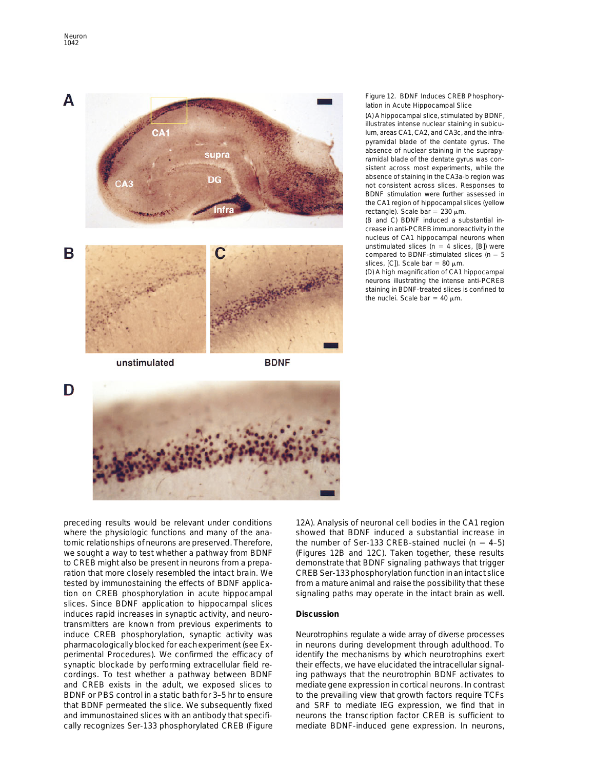

Figure 12. BDNF Induces CREB Phosphorylation in Acute Hippocampal Slice

(A) A hippocampal slice, stimulated by BDNF, illustrates intense nuclear staining in subiculum, areas CA1, CA2, and CA3c, and the infrapyramidal blade of the dentate gyrus. The absence of nuclear staining in the suprapyramidal blade of the dentate gyrus was consistent across most experiments, while the absence of staining in the CA3a-b region was not consistent across slices. Responses to BDNF stimulation were further assessed in the CA1 region of hippocampal slices (yellow rectangle). Scale bar =  $230 \mu m$ .

(B and C) BDNF induced a substantial increase in anti-PCREB immunoreactivity in the nucleus of CA1 hippocampal neurons when unstimulated slices ( $n = 4$  slices, [B]) were compared to BDNF-stimulated slices ( $n = 5$ slices, [C]). Scale bar = 80  $\mu$ m.

(D) A high magnification of CA1 hippocampal neurons illustrating the intense anti-PCREB staining in BDNF-treated slices is confined to the nuclei. Scale bar = 40  $\mu$ m.

preceding results would be relevant under conditions 12A). Analysis of neuronal cell bodies in the CA1 region where the physiologic functions and many of the ana-<br>
showed that BDNF induced a substantial increase in tomic relationships of neurons are preserved. Therefore, the number of Ser-133 CREB-stained nuclei ( $n = 4-5$ ) we sought a way to test whether a pathway from BDNF (Figures 12B and 12C). Taken together, these results to CREB might also be present in neurons from a prepa- demonstrate that BDNF signaling pathways that trigger ration that more closely resembled the intact brain. We CREBSer-133 phosphorylation function inan intact slice tested by immunostaining the effects of BDNF applica- from a mature animal and raise the possibility that these tion on CREB phosphorylation in acute hippocampal signaling paths may operate in the intact brain as well. slices. Since BDNF application to hippocampal slices induces rapid increases in synaptic activity, and neuro- **Discussion** transmitters are known from previous experiments to induce CREB phosphorylation, synaptic activity was Neurotrophins regulate a wide array of diverse processes pharmacologically blocked for eachexperiment (see Ex- in neurons during development through adulthood. To perimental Procedures). We confirmed the efficacy of identify the mechanisms by which neurotrophins exert synaptic blockade by performing extracellular field re- their effects, we have elucidated the intracellular signalcordings. To test whether a pathway between BDNF ing pathways that the neurotrophin BDNF activates to and CREB exists in the adult, we exposed slices to mediate gene expression in cortical neurons. In contrast BDNF or PBS control in a static bath for 3-5 hr to ensure to the prevailing view that growth factors require TCFs that BDNF permeated the slice. We subsequently fixed and SRF to mediate IEG expression, we find that in and immunostained slices with an antibody that specifi- neurons the transcription factor CREB is sufficient to

cally recognizes Ser-133 phosphorylated CREB (Figure mediate BDNF-induced gene expression. In neurons,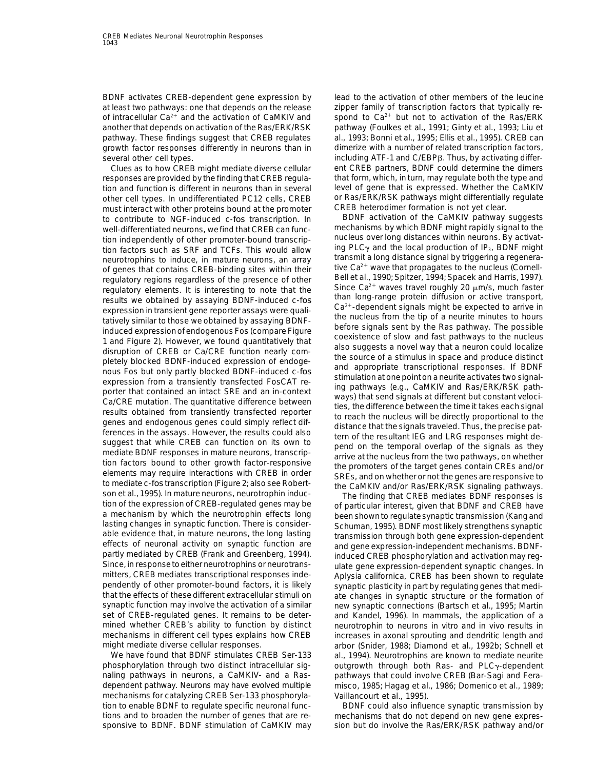BDNF activates CREB-dependent gene expression by lead to the activation of other members of the leucine at least two pathways: one that depends on the release zipper family of transcription factors that typically reof intracellular Ca<sup>2+</sup> and the activation of CaMKIV and spond to Ca<sup>2+</sup> but not to activation of the Ras/ERK another that depends on activation of the Ras/ERK/RSK pathway (Foulkes et al., 1991; Ginty et al., 1993; Liu et several other cell types. including ATF-1 and C/EBPB. Thus, by activating differ-

responses are provided by the finding that CREB regula- that form, which, in turn, may regulate both the type and tion and function is different in neurons than in several level of gene that is expressed. Whether the CaMKIV other cell types. In undifferentiated PC12 cells, CREB or Ras/ERK/RSK pathways might differentially regulate<br>must interact with other proteins bound at the promoter CREB heterodimer formation is not yet clear. must interact with other proteins bound at the promoter CREB heterodimer formation is not yet clear.<br>to contribute to NGF-induced c-*fos transcription.* In BDNF activation of the CaMKIV pathway suggests to contribute to NGF-induced c-*fos* transcription. In BDNF activation of the CaMKIV pathway suggests<br>well-differentiated neurons, we find that CRFB can func-<br>mechanisms by which BDNF might rapidly signal to the well-differentiated neurons, we find that CREB can func-<br>tion independently of other promoter-bound transcrip. Thu mucleus over long distances within neurons. By activat tion independently of other promoter-bound transcrip-<br>tion factors such as SRF and TCFs. This would allow ing PLC $\gamma$  and the local production of IP<sub>3</sub>, BDNF might neurotrophins to induce in mature neurons an array transm neurotrophins to induce, in mature neurons, an array transmit a long distance signal by triggering a regenera-<br>of genes that contains CREB-binding sites within their tive Ca<sup>2+</sup> wave that propagates to the nucleus (Cornell regulatory regions regardless of the presence of other<br>regulatory elements. It is interesting to note that the<br>results we obtained by assaying BDNF-induced c-*fos*<br>ca<sup>2+</sup> waves travel roughly 20  $\mu$ m/s, much faster<br>resul expression in translent gene reporter assays were quali-<br>
Ca<sup>23-1</sup>-dependent signals inight be expected to arrive in the constant signals in the constant and the spected to method inducted expression of endogenous Fos (com Since, in response to either neurotrophins or neurotrans-<br>
mitters, CREB mediates transcriptional responses inde-<br>
Aplysia californica. CREB has been shown to regulate mitters, CREB mediates transcriptional responses inde- Aplysia californica, CREB has been shown to regulate pendently of other promoter-bound factors, it is likely synaptic plasticity in part by regulating genes that medi-<br>that the effects of these different extracellular stimuli on and a changes in synaptic structure or the for synaptic function may involve the activation of a similar new synaptic connections (Bartsch et al., 1995; Martin set of CREB-regulated genes. It remains to be deter-<br>mined whether CREB's ability to function by distinct<br>meurotrophin to neurons in vitro and in vivo results in mined whether CREB's ability to function by distinct eneurotrophin to neurons in vitro and in vivo results in<br>mechanisms in different cell types explains how CREB increases in axonal sprouting and dendritic length and might mediate diverse cellular responses. and arbor (Snider, 1988; Diamond et al., 1992b; Schnell et

phosphorylation through two distinct intracellular sig- outgrowth through both Ras- and PLCy-dependent naling pathways in neurons, a CaMKIV- and a Ras- pathways that could involve CREB (Bar-Sagi and Feradependent pathway. Neurons may have evolved multiple misco, 1985; Hagag et al., 1986; Domenico et al., 1989; mechanisms for catalyzing CREB Ser-133 phosphoryla- Vaillancourt et al., 1995). tion to enable BDNF to regulate specific neuronal func- BDNF could also influence synaptic transmission by tions and to broaden the number of genes that are re- mechanisms that do not depend on new gene expres-

pathway. These findings suggest that CREB regulates al., 1993; Bonni et al., 1995; Ellis et al., 1995). CREB can growth factor responses differently in neurons than in dimerize with a number of related transcription factors, Clues as to how CREB might mediate diverse cellular ent CREB partners, BDNF could determine the dimers

ate changes in synaptic structure or the formation of increases in axonal sprouting and dendritic length and We have found that BDNF stimulates CREB Ser-133 al., 1994). Neurotrophins are known to mediate neurite

sponsive to BDNF. BDNF stimulation of CaMKIV may sion but do involve the Ras/ERK/RSK pathway and/or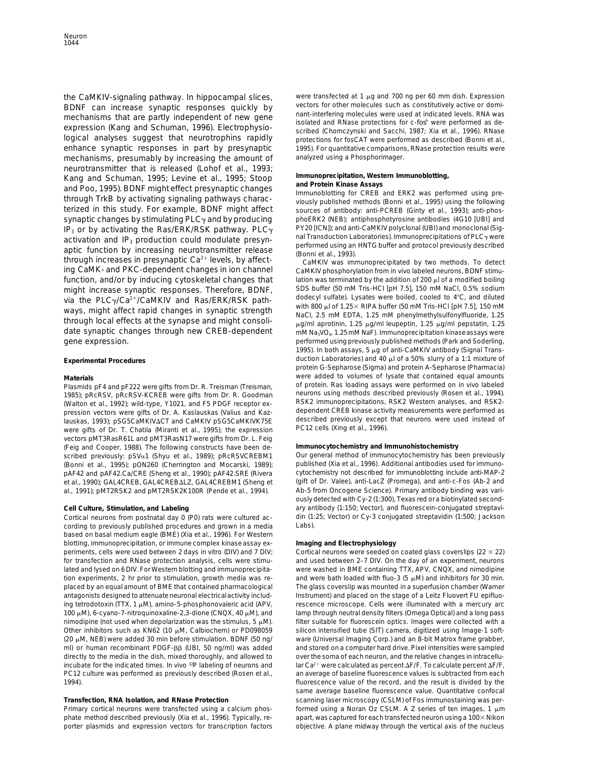BDNF can increase synaptic responses quickly by<br>mechanisms that are partly independent of new gene<br>expression (Kang and Schuman, 1996). Electrophysio-<br>expression (Kang and Schuman, 1996). Electrophysio-<br>scribed (Chomczynsk logical analyses suggest that neurotrophins rapidly protections for fosCAT were performed as described (Bonni et al., enhance synaptic responses in part by presynaptic 1995). For quantitative comparisons, RNase protection results were mechanisms, presumably by increasing the amount of analyzed using a Phosphorimager. neurotransmitter that is released (Lohof et al., 1993; Kang and Schuman, 1995; Levine et al., 1995; Stoop Immunoprecipitation, Western Immunoblotting,<br>and Poo, 1995). BDNF might effect presynaptic changes Immunoblotting for CREB and ERK2 was performed using pre-<br>through TrkB b terized in this study. For example, BDNF might affect sources of antibody: anti-PCREB (Ginty et al., 1993); anti-phossynaptic changes by stimulating PLC<sub>Y</sub> and by producing phoERK2 (NEB); antiphosphotyrosine antibodies (4G10 [UBI] and<br>IP<sub>2</sub> or by activating the Ras/FRK/RSK pathway. PI C<sub>N</sub> PY20 [ICN]); and anti-CaMKIV polyclonal (UBI) a  $IP_3$  or by activating the Ras/ERK/RSK pathway. PLC $\gamma$ <br>activation and IP<sub>3</sub> production could modulate presyn-<br>aptic function by increasing neurotransmitter release<br>through increases in presynaptic Ca<sup>2+</sup> levels, by affec ing CaMK- and PKC-dependent changes in ion channel CaMKIV phosphorylation from in vivo labeled neurons, BDNF stimufunction, and/or by inducing cytoskeletal changes that lation was terminated by the addition of 200 µl of a modified boiling might increase synaptic responses. Therefore, BDNF, SDS buffer (50 mM Tris-HCl [pH 7.5], 150 mM NaCl, 0.5% sodium<br>via the BLCs/Ca<sup>2+/CaMKIV</sup> and Bas/EBK/BSK path dodecyl sulfate). Lysates were boiled, cooled to 4°C, and di via the PLC $\gamma$ /Ca<sup>2+</sup>/CaMKIV and Ras/ERK/RSK path-<br>with 800  $\mu$  of 1.25 × RIPA buffer (50 mM Tris-HCl [pH 7.5], 150 mM<br>through local effects at the synapse and might consoli-<br>through local effects at the synapse and mig date synaptic changes through new CREB-dependent mM Na<sub>3</sub>VO<sub>4</sub>, 1.25 mM NaF). Immunoprecipitation kinase assays were gene expression. **performed using previously published methods (Park and Soderling,** 

Plasmids pF4 and pF222 were gifts from Dr. R. Treisman (Treisman, of protein. Ras loading assays were performed on in vivo labeled<br>1985): pRcRSV, pRcRSV-KCREB were gifts from Dr. R. Goodman, one understanding methods descr neurons using methods described previously previously previously previously (Rosen et al., 1994).<br>1985); pRcRSV, pRcRSV-KCREB were gifts from Dr. R. Goodman and RSK2 immunoprecipitations, RSK2 Western analyses, and RSK2-Walton et al., 1992); wild-type, Y1021, and F5 PDGF receptor ex-<br>Ressign vectors were gifts of Dr. A. Kaskuskas Nalius and Kaza dependent CREB kinase activity measurements were performed as pression vectors were gifts of Dr. A. Kaslauskas (Valius and Kaz- dependent CREB kinase activity measurements were performed as<br>Jauskas, 1993): pSG5CaMKIVACT and CaMKIV pSG5CaMKIVK75F described previously except that neuro lauskas, 1993); pSG5CaMKIV∆CT and CaMKIV pSG5CaMKIVK75E and CaScribed previously except<br>were gifts of Dr. T. Chatila (Miranti et al., 1995); the expression and Camela (Xing et al., 1996). were gifts of Dr. T. Chatila (Miranti et al., 1995); the expression vectors pMT3RasR61L and pMT3RasN17 were gifts from Dr. L. Feig (Feig and Cooper, 1988). The following constructs have been de- **Immunocytochemistry and Immunohistochemistry** scribed previously: pSVa1 (Shyu et al., 1989); pRcRSVCREBM1 Our general method of immunocytochemistry has been previously<br>(Bonni et al., 1995): pON260 (Cherrington and Mocarski, 1989); published (Xia et al., 1996). Additio (Bonni et al., 1995); pON260 (Cherrington and Mocarski, 1989); pAF42 and pAF42.Ca/CRE (Sheng et al., 1990); pAF42.SRE (Rivera cytochemistry not described for immunoblotting include anti-MAP-2 et al., 1990); GAL4CREB, GAL4CREBALZ, GAL4CREBM1 (Sheng et (gift of Dr. Valee), anti-LacZ (Promega), and anti-c-Fos (Ab-2 and

cording to previously published procedures and grown in a media Labs). based on basal medium eagle (BME) (Xia et al., 1996). For Western blotting, immunoprecipitation, or immune complex kinase assay ex- **Imaging and Electrophysiology** periments, cells were used between 2 days in vitro (DIV) and 7 DIV; Cortical neurons were seeded on coated glass coverslips (22  $\times$  22) for transfection and RNase protection analysis, cells were stimu- and used between 2–7 DIV. On the day of an experiment, neurons lated and lysed on 6 DIV. For Western blotting and immunoprecipita- were washed in BME containing TTX, APV, CNQX, and nimodipine tion experiments, 2 hr prior to stimulation, growth media was re- and were bath loaded with fluo-3 (5 µM) and inhibitors for 30 min. placed by an equal amount of BME that contained pharmacological The glass coverslip was mounted in a superfusion chamber (Warner antagonists designed to attenuate neuronal electricalactivity includ- Instrument) and placed on the stage of a Leitz Fluovert FU epifluoing tetrodotoxin (TTX, 1 µM), amino-5-phosphonovaleric acid (APV, rescence microscope. Cells were illuminated with a mercury arc 100 μM), 6-cyano-7-nitroquinoxaline-2,3-dione (CNQX, 40 μM), and lamp through neutral density filters (Omega Optical) and a long pass nimodipine (not used when depolarization was the stimulus, 5 µM). Filter suitable for fluorescein optics. Images were collected with a Other inhibitors such as KN62 (10 μM, Calbiochem) or PD098059 silicon intensified tube (SIT) camera, digitized using Image-1 soft- $(20 \mu)$ M, NEB) were added 30 min before stimulation. BDNF (50 ng/ ware (Universal Imaging Corp.) and an 8-bit Matrox frame grabber, ml) or human recombinant PDGF-ββ (UBI, 50 ng/ml) was added and stored on a computer hard drive. Pixel intensities were sampled directly to the media in the dish, mixed thoroughly, and allowed to over the soma of each neuron, and the relative changes in intracelluincubate for the indicated times. In vivo  $^{32}P$  labeling of neurons and lar Ca<sup>2+</sup> were calculated as percent  $\Delta F/F$ . To calculate percent  $\Delta F/F$ , PC12 culture was performed as previously described (Rosen et al., an average of baseline fluorescence values is subtracted from each 1994). fluorescence value of the record, and the result is divided by the

phate method described previously (Xia et al., 1996). Typically, re- apart, was captured for each transfected neuron using a 100×Nikon porter plasmids and expression vectors for transcription factors objective. A plane midway through the vertical axis of the nucleus

the CaMKIV-signaling pathway. In hippocampal slices, were transfected at 1  $\mu$ g and 700 ng per 60 mm dish. Expression<br>RDNE, can, increase, synantic, responses, quickly, by vectors for other molecules such as constitutive

1995). In both assays, 5  $\mu$ g of anti-CaMKIV antibody (Signal Trans-Experimental Procedures **Experimental Procedures** duction Laboratories) and 40  $\mu$ l of a 50% slurry of a 1:1 mixture of protein G-Sepharose (Sigma) and protein A-Sepharose (Pharmacia) Materials<br>
Discription Fata and prior were added to volumes of lysate that contained equal amounts<br>
Of protein. Ras loading assays were performed on in vivo labeled

al., 1991); pMT2RSK2 and pMT2RSK2K100R (Pende et al., 1994). Ab-5 from Oncogene Science). Primary antibody binding was variously detected with Cy-2 (1:300), Texas red ora biotinylated second-**Cell Culture, Stimulation, and Labeling and ary antibody (1:150; Vector), and fluorescein-conjugated streptavi-**Cortical neurons from postnatal day 0 (P0) rats were cultured ac- din (1:25; Vector) or Cy-3 conjugated streptavidin (1:500; Jackson

same average baseline fluorescence value. Quantitative confocal Transfection, RNA Isolation, and RNase Protection states are series a scanning laser microscopy (CSLM) of Fos immunostaining was per-Primary cortical neurons were transfected using a calcium phos-<br>
formed using a Noran Oz CSLM. A Z series of ten images, 1 pm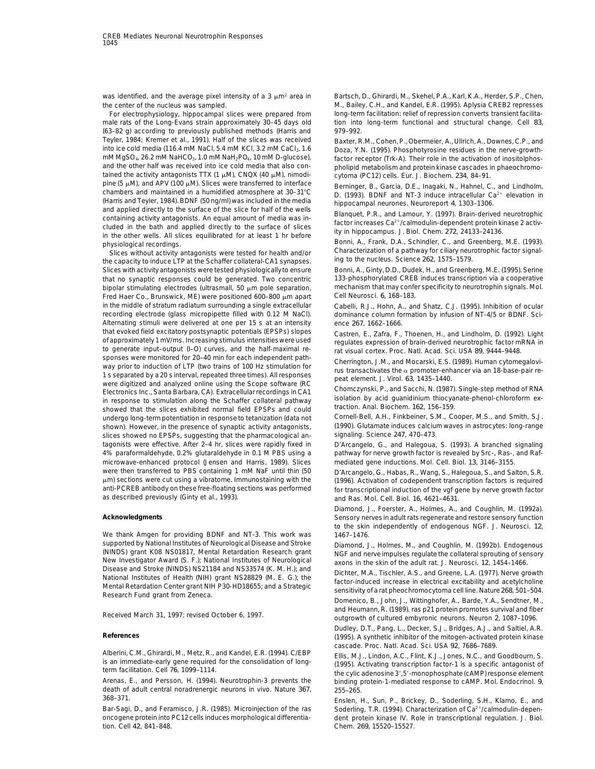For electrophysiology, hippocampal slices were prepared from male rats of the Long-Evans strain approximately 30–45 days old tion into long-term functional and structural change. Cell *83*, (63–82 g) according to previously published methods (Harris and 979–992. Teyler, 1984; Kremer et al., 1991). Half of the slices was received Baxter, R.M., Cohen, P., Obermeier, A., Ullrich, A., Downes, C.P., and into ice cold media (116.4 mM NaCl, 5.4 mM KCl, 3.2 mM CaCl<sub>2</sub>, 1.6 Doza, Y.N. (1995). Phosphotyrosine residues in the nerve-growth-<br>mM MgSO<sub>4</sub>, 26.2 mM NaHCO<sub>3</sub>, 1.0 mM NaH<sub>2</sub>PO<sub>4</sub>, 10 mM D-glucose), factor receptor (Trk and the other half was received into ice cold media that also con- pholipid metabolism and protein kinase cascades in phaeochromotained the activity antagonists TTX (1 µM), CNQX (40 µM), nimodi- cytoma (PC12) cells. Eur. J. Biochem. 234, 84–91. pine (5  $\mu$ M), and APV (100  $\mu$ M). Slices were transferred to interface<br>chambers and maintained in a humidified atmosphere at 30–31°C b. (1993). BDNF and NT-3 induce intracellular Ca<sup>2+</sup> elevation in (Harris and Teyler, 1984). BDNF (50 ng/ml) was included in the media hippocampal neurones. Neuroreport *4*, 1303–1306. and applied directly to the surface of the slice for half of the wells<br>
containing activity antagonists. An equal amount of media was in-<br>
cluded in the bath and applied directly to the surface of slices<br>
in the other well

Slices with activity antagonists were tested physiologicallyto ensure Bonni, A., Ginty, D.D., Dudek, H., and Greenberg, M.E. (1995). Serine that no synaptic responses could be generated. Two concentric and the sphosphorylated CREB induces transcription via a cooperative<br>bipolar stimulating electrodes (ultrasmall, 50 µm pole separation, and mechanism that may c Fred Haer Co., Brunswick, ME) were positioned 600-800 µm apart in the middle of stratum radiatum surrounding a single extracellular Cabelli, R.J., Hohn, A., and Shatz, C.J. (1995). Inhibition of ocular recording electrode (glass micropipette filled with 0.12 M NaCl). dominance column formation by infusion of NT-4/5 or BDNF. Sci-Alternating stimuli were delivered at one per 15 s at an intensity ence *267*, 1662–1666. that evoked field excitatory postsynaptic potentials (EPSPs) slopes<br>of approximately 1 mV/ms. Increasing stimulus intensities were used<br>to generate input-output (I-O) curves, and the half-maximal re-<br>tat visual cortex Proc to generate input–output (I–O) curves, and the half-maximal re- rat visual cortex. Proc. Natl. Acad. Sci. USA *89*, 9444–9448. sponses were monitored for 20–40 min for each independent path-<br>
May prior to induction of LTP (two trains of 100 Hz stimulation for<br>
1 s separated by a 20 s interval, repeated three times). All responses<br>
transactivates undergo long-term potentiation in response to tetanization (data not Cornell-Bell, A.H., Finkbeiner, S.M., Cooper, M.S., and Smith, S.J.<br>Shown) However, in the presence of synaptic activity antagonists (1990). Glutamate in shown). However, in the presence of synaptic activity antagonists, slices showed no EPSPs, suggesting that the pharmacological an- signaling. Science *247*, 470–473. tagonists were effective. After 2–4 hr, slices were rapidly fixed in D'Arcangelo, G., and Halegoua, S. (1993). A branched signaling<br>4% paraformaldehyde, 0.2% glutaraldehyde in 0.1 M PBS using a pathway for nerve growth fac microwave-enhanced protocol (Jensen and Harris, 1989). Slices mediated gene inductions. Mol. Cell. Biol. *13*, 3146–3155. were then transferred to PBS containing 1 mM NaF until thin (50 D'Arcangelo, G., Habas, R., Wang, S., Halegoua, S., and Salton, S.R.<br>μm) sections were cut using a vibratome. Immunostaining with the (1996). Activation of c anti-PCREB antibody on these free-floating sections was performed for transcriptional induction of the vgf gene by nerve growth factor as described previously (Ginty et al., 1993). and Ras. Mol. Cell. Biol. *16*, 4621–4631.

We thank Amgen for providing BDNF and NT-3. This work was 1467-1476. supported by National Institutes of Neurological Disease and Stroke<br>
(NINDS) grant K08 NS01817, Mental Retardation Research grant<br>
NGF and nerve impulses regulate the collateral sprouting of sensory<br>
New Investigator Award Dichter, M.A., Tischler, A.S., and Greene, L.A. (1977). Nerve growth<br>National Institutes of Health (NIH) grant NS28829 (M. E. G.); the<br>Mental Retardation Center grant NIH P30-HD18655; and a Strategic<br>Research Fund grant fr

death of adult central noradrenergic neurons in vivo. Nature *367*, 255–265.

tion. Cell *42*, 841–848. Chem. *269*, 15520–15527.

was identified, and the average pixel intensity of a 3  $\mu$ m<sup>2</sup> area in Bartsch, D., Ghirardi, M., Skehel, P.A., Karl, K.A., Herder, S.P., Chen, the center of the nucleus was sampled. M., Bailey, C.H., and Kandel, E.R. (1995). Aplysia CREB2 represses<br>- For electrophysiology, hippocampal slices were prepared from long-term facilitation: relief of repression converts

factor receptor (Trk-A). Their role in the activation of inositolphos-

mechanism that may confer specificity to neurotrophin signals. Mol.<br>Cell Neurosci. 6. 168-183.

pathway for nerve growth factor is revealed by Src-, Ras-, and Raf-

(1996). Activation of codependent transcription factors is required

Diamond, J., Foerster, A., Holmes, A., and Coughlin, M. (1992a). Acknowledgments **Sensory nerves in adult rats regenerate and restore sensory function** to the skin independently of endogenous NGF. J. Neurosci. *12*,

and Heumann, R. (1989). ras p21 protein promotes survival and fiber Received March 31, 1997; revised October 6, 1997.<br>outgrowth of cultured embyronic neurons. Neuron *2*, 1087–1096.

Dudley, D.T., Pang, L., Decker, S.J., Bridges, A.J., and Saltiel, A.R. **References** (1995). A synthetic inhibitor of the mitogen-activated protein kinase cascade. Proc. Natl. Acad. Sci. USA *92*, 7686–7689.

Alberini, C.M., Ghirardi, M., Metz, R., and Kandel, E.R. (1994). C/EBP<br>is an immediate-early gene required for the consolidation of long-<br>term facilitation. Cell 76, 1099-1114.<br>the cylic adenosine 3',5'-monophosphate (cAMP Arenas, E., and Persson, H. (1994). Neurotrophin-3 prevents the binding protein-1-mediated response to cAMP. Mol. Endocrinol. *9*,

Enslen, H., Sun, P., Brickey, D., Soderling, S.H., Klamo, E., and Bar-Sagi, D., and Feramisco, J.R. (1985). Microinjection of the ras Soderling, T.R. (1994). Characterization of Ca<sup>2+</sup>/calmodulin-depenoncogene protein into PC12 cells induces morphological differentia- dent protein kinase IV. Role in transcriptional regulation. J. Biol.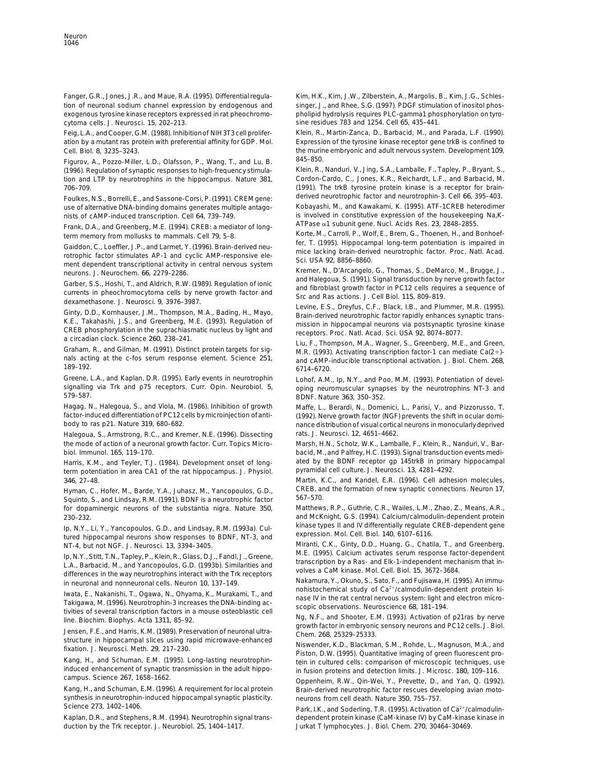Fanger, G.R., Jones, J.R., and Maue, R.A. (1995). Differential regula- Kim, H.K., Kim, J.W., Zilberstein, A., Margolis, B., Kim, J.G., Schlestion of neuronal sodium channel expression by endogenous and singer, J., and Rhee, S.G. (1997). PDGF stimulation of inositol phosexogenous tyrosine kinase receptors expressed in rat pheochromo- pholipid hydrolysis requires PLC-gamma1 phosphorylation on tyrocytoma cells. J. Neurosci. *15*, 202–213. sine residues 783 and 1254. Cell *65*, 435–441.

ation by a mutant ras protein with preferential affinity for GDP. Mol. Expression of the tyrosine kinase receptor gene trkB is confined to Cell. Biol. *8*, 3235–3243. the murine embryonic and adult nervous system. Development *109*,

845–850. Figurov, A., Pozzo-Miller, L.D., Olafsson, P., Wang, T., and Lu, B. (1996). Regulation of synaptic responses to high-frequency stimula-<br>
Klein, R., Nanduri, V., J. Jing, S.A., Lamballe, F., Tapley, P., Bryant, S., (1997). tion and LTP by neurotrophins in the hippocampus. Nature 381, Cordon-Cardo, C., Jones, K.R., Reichardt, L.F., and Barbacid, M. 706–709. (1991). The trkB tyrosine protein kinase is a receptor for brain-

use of alternative DNA-binding domains generates multiple antago- Kobayashi, M., and Kawakami, K. (1995). ATF-1CREB heterodimer nists of cAMP-induced transcription. Cell 64, 739-749. **The interact is involved in constitutive expression of the housekeeping Na,K-**

Frank, D.A., and Greenberg, M.E. (1994). CREB: a mediator of long-**ATPase and Subunit gene. Nucl. Acids Res. 23**, 2848-2855.

Gaiddon, C., Loeffler, J.P., and Larmet, Y. (1996). Brain-derived neu-<br>
rotrophic factor stimulates AP-1 and cyclic AMP-responsive ele-<br>
meurons. J. Neurochem. 66, 2279-2286.<br>
meurons. J. Neurochem. 66, 2279-2286.<br>
meurons

Greene, L.A., and Kaplan, D.R. (1995). Early events in neurotrophin Lohof, A.M., Ip, N.Y., and Poo, M.M. (1993). Potentiation of devel-<br>signalling via Trk and p75 receptors. Curr. Opin. Neurobiol. 5, oping neuromuscular sy 579–587. BDNF. Nature *363*, 350–352.

Hagag, N., Halegoua, S., and Viola, M. (1986). Inhibition of growth Maffe, L., Berardi, N., Domenici, L., Parisi, V., and Pizzorusso, T.<br>factor-induced differentiation of PC12 cells by microiniection of anti- (1992). Nerve factor-induced differentiation of PC12 cells by microinjection of anti- (1992). Nerve growth factor (NGF) prevents the shift in ocular domi-

Halegoua, S., Armstrong, R.C., and Kremer, N.E. (1996). Dissecting rats. J. Neurosci. 12, 4651-4662. the mode of action of a neuronal growth factor. Curr. Topics Micro- Marsh, H.N., Scholz, W.K., Lamballe, F., Klein, R., Nanduri, V., Barbiol. Immunol. *165*, 119–170. bacid, M.,and Palfrey, H.C. (1993). Signal transduction events medi-

term potentiation in area CA1 of the rat hippocampus. J. Physiol. *346*, 27–48. Martin, K.C., and Kandel, E.R. (1996). Cell adhesion molecules,

Squinto, S., and Lindsay, R.M. (1991). BDNF is a neurotrophic factor bold bold bold by the C.R., Wailes, L.M., Zhao, Z., Means, A.R., Chao, S., Means, A.R., Enaby States, A.R., Enaby States, A.R., Enaby States, A.R., Enaby for dopaminergic neurons of the substantia nigra. Nature 350,

lp, N.Y., Li, Y., Yancopoulos, G.D., and Lindsay, R.M. (1993a). Cul-<br>tured hippocampal neurons show responses to BDNF, NT-3, and expression. Mol. Cell. Biol. 140, 6107–6116.

Ip, N.Y., Stitt, T.N., Tapley, P., Klein, R., Glass, D.J., Fandl, J., Greene,<br>
L.A., Barbacid, M., and Yancopoulos, G.D. (1993b). Similarities and<br>
differences in the way neurotrophins interact with the Trk receptors<br>
dif

Iwata, E., Nakanishi, T., Ogawa, N., Ohyama, K., Murakami, T., and<br>
Takigawa, M. (1996). Neurotrophin-3 increases the DNA-binding ac-<br>
tivities of several transcription factors in a mouse osteoblastic cell<br>
inne. Biochim.

Kang, H., and Schuman, E.M. (1995). Long-lasting neurotrophin-<br>in fusion protection cells: comparison in the studies of the method cells: comparison of microscopic techniques, use induced enhancement of synaptic transmission in the adult hippo- in fusion proteins and detection limits. J. Microsc. *180*, 109–116.

synthesis in neurotrophin-induced hippocampal synaptic plasticity. neurons from cell death. Nature 350, 755-757.

duction by the Trk receptor. J. Neurobiol. *25*, 1404–1417. Jurkat T lymphocytes. J. Biol. Chem. *270*, 30464–30469.

Feig, L.A., andCooper, G.M. (1988). Inhibitionof NIH 3T3 cell prolifer- Klein, R., Martin-Zanca, D., Barbacid, M., and Parada, L.F. (1990).

Foulkes, N.S., Borrelli, E., and Sassone-Corsi, P. (1991). CREM gene: derived neurotrophic factor and neurotrophin-3. Cell 66, 395-403.

Korte, M., Carroll, P., Wolf, E., Brem, G., Thoenen, H., and Bonhoef- term memory from mollusks to mammals. Cell *79*, 5–8.

CREB phosphorylation in the suprachiasmatic nucleus by light and<br>a circadian clock. Science 260, 238-241.<br>Graham, R., and Gilman, M. (1991). Distinct protein targets for sig-<br>nals acting at the c-fos serum response element nals acting at the c-fos serum response element. Science *<sup>251</sup>*, and cAMP-inducible transcriptional activation. J. Biol. Chem. *<sup>268</sup>*, 189–192. 6714–6720.

oping neuromuscular synapses by the neurotrophins NT-3 and

hance distribution of visual cortical neurons in monocularly deprived

Harris, K.M., and Teyler, T.J. (1984). Development onset of long-<br>term potentiation in area CA1 of the rat hippocampus. J. Physiol. Pyramidal cell culture. J. Neurosci. 13, 4281-4292.

Hyman, C., Hofer, M., Barde, Y.A., Juhasz, M., Yancopoulos, G.D., CREB, and the formation of new synaptic connections. Neuron *17*,

230–232.<br>In N.Y. Li. Y. Yancopoulos. G.D. and Lindsay P.M. (1992a). Cull kinase types II and IV differentially regulate CREB-dependent gene

NT-4, but not NGF. J. Neurosci. 13, 3394–3405.<br>In N.Y. Stitt T.N. Taploy B. Kloin B. Glass D.J. Fandl. J. Groope M.E. (1995). Calcium activates serum response factor-dependent

structure in hippocampal slices using rapid microwave-enhanced<br>fixation. J. Neurosci. Meth. 29, 217-230.<br>Kang, H., and Schuman, E.M. (1995). Long-lasting neurotrophin-<br>Kang, H., and Schuman, E.M. (1995). Long-lasting neuro

campus. Science 267, 1658–1662.<br>Kang, H., and Schuman, E.M. (1996). A requirement for local protein Brain-derived neurotrophic factor rescues developing avian moto-Brain-derived neurotrophic factor rescues developing avian moto-

Science 273, 1402-1406. **Park, I.K., and Soderling, T.R. (1995).** Activation of Ca<sup>2+</sup>/calmodulin-Kaplan, D.R., and Stephens, R.M. (1994). Neurotrophin signal trans- dependent protein kinase (CaM-kinase IV) by CaM-kinase kinase in